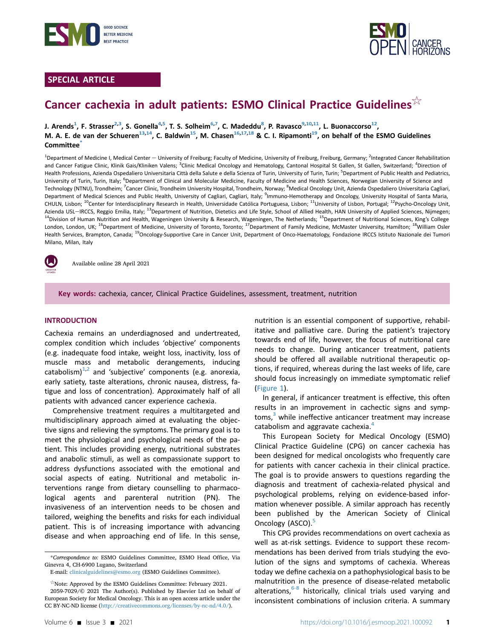

# SPECIAL ARTICLE



# Cancer cachexia in adult patients: ESMO Clinical Practice Guidelines $\frac{1}{2}$

J. Arends<sup>1</sup>, F. Strasser<sup>2,[3](#page-0-1)</sup>, S. Gonella<sup>[4](#page-0-1)[,5](#page-0-2)</sup>, T. S. Solheim<sup>[6](#page-0-3),[7](#page-0-4)</sup>, C. Madeddu<sup>[8](#page-0-4)</sup>, P. Ravasco<sup>9,10,11</sup>, L. Buonaccorso<sup>12</sup>, M. A. E. de van der Schueren<sup>13,[14](#page-0-7)</sup>, C. Baldwin<sup>15</sup>, M. Chasen<sup>16,17,18</sup> & C. I. Ripamonti<sup>19</sup>, on behalf of the ESMO Guidelines Committee<sup>[\\*](#page-0-11)</sup>

<span id="page-0-6"></span><span id="page-0-5"></span><span id="page-0-4"></span><span id="page-0-3"></span><span id="page-0-2"></span><span id="page-0-1"></span><span id="page-0-0"></span><sup>1</sup>Department of Medicine I, Medical Center — University of Freiburg; Faculty of Medicine, University of Freiburg, Freiburg, Germany; <sup>2</sup>Integrated Cancer Rehabilitation and Cancer Fatigue Clinic, Klinik Gais/Kliniken Valens; <sup>3</sup>Clinic Medical Oncology and Hematology, Cantonal Hospital St Gallen, St Gallen, Switzerland; <sup>4</sup>Direction of Health Professions, Azienda Ospedaliero Universitaria Città della Salute e della Scienza of Turin, University of Turin, Turin; <sup>5</sup>Department of Public Health and Pediatrics, University of Turin, Turin, Italy; <sup>6</sup>Department of Clinical and Molecular Medicine, Faculty of Medicine and Health Sciences, Norwegian University of Science and Technology (NTNU), Trondheim; <sup>7</sup>Cancer Clinic, Trondheim University Hospital, Trondheim, Norway; <sup>8</sup>Medical Oncology Unit, Azienda Ospedaliero Universitaria Cagliari, Department of Medical Sciences and Public Health, University of Cagliari, Cagliari, Italy; <sup>9</sup>Immuno-Hemotherapy and Oncology, University Hospital of Santa Maria, CHULN, Lisbon; 10Center for Interdisciplinary Research in Health, Universidade Católica Portuguesa, Lisbon; 11University of Lisbon, Portugal; 12Psycho-Oncology Unit, Azienda USL-IRCCS, Reggio Emilia, Italy; <sup>13</sup>Department of Nutrition, Dietetics and Life Style, School of Allied Health, HAN University of Applied Sciences, Nijmegen; <sup>14</sup>Division of Human Nutrition and Health, Wageningen University & Research, Wageningen, The Netherlands; <sup>15</sup>Department of Nutritional Sciences, King's College London, London, UK; <sup>16</sup>Department of Medicine, University of Toronto, Toronto; <sup>17</sup>Department of Family Medicine, McMaster University, Hamilton; <sup>18</sup>William Osler Health Services, Brampton, Canada; <sup>19</sup>Oncology-Supportive Care in Cancer Unit, Department of Onco-Haematology, Fondazione IRCCS Istituto Nazionale dei Tumori Milano, Milan, Italy

<span id="page-0-10"></span><span id="page-0-9"></span><span id="page-0-8"></span><span id="page-0-7"></span>

Available online 28 April 2021

Key words: cachexia, cancer, Clinical Practice Guidelines, assessment, treatment, nutrition

### INTRODUCTION

Cachexia remains an underdiagnosed and undertreated, complex condition which includes 'objective' components (e.g. inadequate food intake, weight loss, inactivity, loss of muscle mass and metabolic derangements, inducing catabolism) $1/2$  $1/2$  and 'subjective' components (e.g. anorexia, early satiety, taste alterations, chronic nausea, distress, fatigue and loss of concentration). Approximately half of all patients with advanced cancer experience cachexia.

Comprehensive treatment requires a multitargeted and multidisciplinary approach aimed at evaluating the objective signs and relieving the symptoms. The primary goal is to meet the physiological and psychological needs of the patient. This includes providing energy, nutritional substrates and anabolic stimuli, as well as compassionate support to address dysfunctions associated with the emotional and social aspects of eating. Nutritional and metabolic interventions range from dietary counselling to pharmacological agents and parenteral nutrition (PN). The invasiveness of an intervention needs to be chosen and tailored, weighing the benefits and risks for each individual patient. This is of increasing importance with advancing disease and when approaching end of life. In this sense,

nutrition is an essential component of supportive, rehabilitative and palliative care. During the patient's trajectory towards end of life, however, the focus of nutritional care needs to change. During anticancer treatment, patients should be offered all available nutritional therapeutic options, if required, whereas during the last weeks of life, care should focus increasingly on immediate symptomatic relief [\(Figure 1](#page-1-0)).

In general, if anticancer treatment is effective, this often results in an improvement in cachectic signs and symp-toms,<sup>[3](#page-14-2)</sup> while ineffective anticancer treatment may increase catabolism and aggravate cachexia.<sup>[4](#page-14-3)</sup>

This European Society for Medical Oncology (ESMO) Clinical Practice Guideline (CPG) on cancer cachexia has been designed for medical oncologists who frequently care for patients with cancer cachexia in their clinical practice. The goal is to provide answers to questions regarding the diagnosis and treatment of cachexia-related physical and psychological problems, relying on evidence-based information whenever possible. A similar approach has recently been published by the American Society of Clinical Oncology (ASCO).<sup>[5](#page-14-4)</sup>

This CPG provides recommendations on overt cachexia as well as at-risk settings. Evidence to support these recommendations has been derived from trials studying the evolution of the signs and symptoms of cachexia. Whereas today we define cachexia on a pathophysiological basis to be malnutrition in the presence of disease-related metabolic alterations, $6-8$  historically, clinical trials used varying and inconsistent combinations of inclusion criteria. A summary

<span id="page-0-11"></span><sup>\*</sup>Correspondence to: ESMO Guidelines Committee, ESMO Head Office, Via Ginevra 4, CH-6900 Lugano, Switzerland

E-mail: [clinicalguidelines@esmo.org](mailto:clinicalguidelines@esmo.org) (ESMO Guidelines Committee).

 $\mathbb{R}$  Note: Approved by the ESMO Guidelines Committee: February 2021. 2059-7029/© 2021 The Author(s). Published by Elsevier Ltd on behalf of European Society for Medical Oncology. This is an open access article under the CC BY-NC-ND license (<http://creativecommons.org/licenses/by-nc-nd/4.0/>).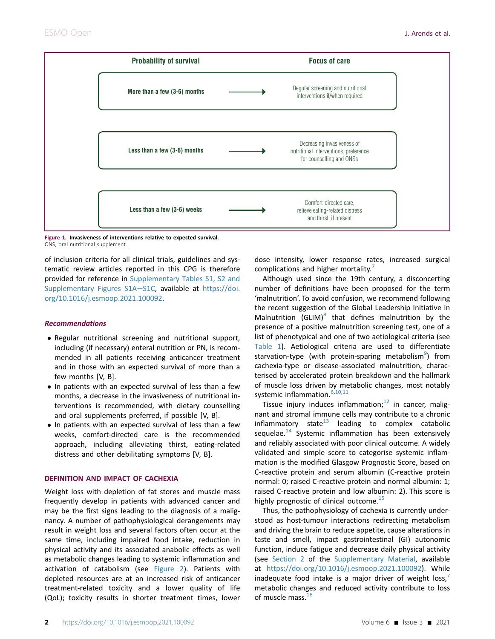<span id="page-1-0"></span>

Figure 1. Invasiveness of interventions relative to expected survival. ONS, oral nutritional supplement.

of inclusion criteria for all clinical trials, guidelines and systematic review articles reported in this CPG is therefore provided for reference in Supplementary Tables S1, S2 and Supplementary Figures S1A-S1C, available at [https://doi.](https://doi.org/10.1016/j.esmoop.2021.100092) [org/10.1016/j.esmoop.2021.100092.](https://doi.org/10.1016/j.esmoop.2021.100092)

### Recommendations

- Regular nutritional screening and nutritional support, including (if necessary) enteral nutrition or PN, is recommended in all patients receiving anticancer treatment and in those with an expected survival of more than a few months [V, B].
- In patients with an expected survival of less than a few months, a decrease in the invasiveness of nutritional interventions is recommended, with dietary counselling and oral supplements preferred, if possible [V, B].
- In patients with an expected survival of less than a few weeks, comfort-directed care is the recommended approach, including alleviating thirst, eating-related distress and other debilitating symptoms [V, B].

### DEFINITION AND IMPACT OF CACHEXIA

Weight loss with depletion of fat stores and muscle mass frequently develop in patients with advanced cancer and may be the first signs leading to the diagnosis of a malignancy. A number of pathophysiological derangements may result in weight loss and several factors often occur at the same time, including impaired food intake, reduction in physical activity and its associated anabolic effects as well as metabolic changes leading to systemic inflammation and activation of catabolism (see [Figure 2\)](#page-2-0). Patients with depleted resources are at an increased risk of anticancer treatment-related toxicity and a lower quality of life (QoL); toxicity results in shorter treatment times, lower

dose intensity, lower response rates, increased surgical complications and higher mortality.

Although used since the 19th century, a disconcerting number of definitions have been proposed for the term 'malnutrition'. To avoid confusion, we recommend following the recent suggestion of the Global Leadership Initiative in Malnutrition (GLIM) $8$  that defines malnutrition by the presence of a positive malnutrition screening test, one of a list of phenotypical and one of two aetiological criteria (see [Table 1](#page-3-0)). Aetiological criteria are used to differentiate starvation-type (with protein-sparing metabolism<sup>[9](#page-14-8)</sup>) from cachexia-type or disease-associated malnutrition, characterised by accelerated protein breakdown and the hallmark of muscle loss driven by metabolic changes, most notably systemic inflammation.<sup>[6,](#page-14-5)[10](#page-14-9),[11](#page-14-10)</sup>

Tissue injury induces inflammation; $12$  in cancer, malignant and stromal immune cells may contribute to a chronic inflammatory state $13$  leading to complex catabolic sequelae. $14$  Systemic inflammation has been extensively and reliably associated with poor clinical outcome. A widely validated and simple score to categorise systemic inflammation is the modified Glasgow Prognostic Score, based on C-reactive protein and serum albumin (C-reactive protein normal: 0; raised C-reactive protein and normal albumin: 1; raised C-reactive protein and low albumin: 2). This score is highly prognostic of clinical outcome.<sup>[15](#page-14-14)</sup>

Thus, the pathophysiology of cachexia is currently understood as host-tumour interactions redirecting metabolism and driving the brain to reduce appetite, cause alterations in taste and smell, impact gastrointestinal (GI) autonomic function, induce fatigue and decrease daily physical activity (see Section 2 of the Supplementary Material, available at [https://doi.org/10.1016/j.esmoop.2021.100092\)](https://doi.org/10.1016/j.esmoop.2021.100092). While inadequate food intake is a major driver of weight  $loss'$ metabolic changes and reduced activity contribute to loss of muscle mass.<sup>[16](#page-14-15)</sup>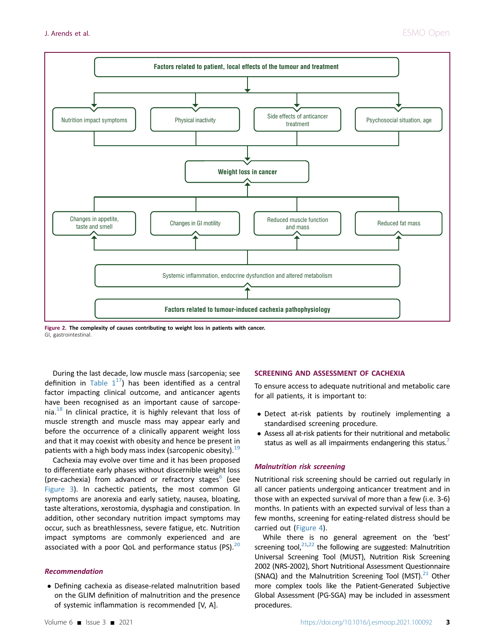<span id="page-2-0"></span>

Figure 2. The complexity of causes contributing to weight loss in patients with cancer. GI, gastrointestinal.

During the last decade, low muscle mass (sarcopenia; see definition in Table  $1^{17}$ ) has been identified as a central factor impacting clinical outcome, and anticancer agents have been recognised as an important cause of sarcopenia. $18$  In clinical practice, it is highly relevant that loss of muscle strength and muscle mass may appear early and before the occurrence of a clinically apparent weight loss and that it may coexist with obesity and hence be present in patients with a high body mass index (sarcopenic obesity).  $19$ 

Cachexia may evolve over time and it has been proposed to differentiate early phases without discernible weight loss (pre-cachexia) from advanced or refractory stages $<sup>6</sup>$  $<sup>6</sup>$  $<sup>6</sup>$  (see</sup> [Figure 3](#page-2-0)). In cachectic patients, the most common GI symptoms are anorexia and early satiety, nausea, bloating, taste alterations, xerostomia, dysphagia and constipation. In addition, other secondary nutrition impact symptoms may occur, such as breathlessness, severe fatigue, etc. Nutrition impact symptoms are commonly experienced and are associated with a poor QoL and performance status (PS). $20$ 

### Recommendation

 Defining cachexia as disease-related malnutrition based on the GLIM definition of malnutrition and the presence of systemic inflammation is recommended [V, A].

### SCREENING AND ASSESSMENT OF CACHEXIA

To ensure access to adequate nutritional and metabolic care for all patients, it is important to:

- Detect at-risk patients by routinely implementing a standardised screening procedure.
- Assess all at-risk patients for their nutritional and metabolic status as well as all impairments endangering this status.

### Malnutrition risk screening

Nutritional risk screening should be carried out regularly in all cancer patients undergoing anticancer treatment and in those with an expected survival of more than a few (i.e. 3-6) months. In patients with an expected survival of less than a few months, screening for eating-related distress should be carried out ([Figure 4\)](#page-4-0).

While there is no general agreement on the 'best' screening tool, $21,22$  $21,22$  the following are suggested: Malnutrition Universal Screening Tool (MUST), Nutrition Risk Screening 2002 (NRS-2002), Short Nutritional Assessment Questionnaire (SNAQ) and the Malnutrition Screening Tool (MST). $^{21}$  Other more complex tools like the Patient-Generated Subjective Global Assessment (PG-SGA) may be included in assessment procedures.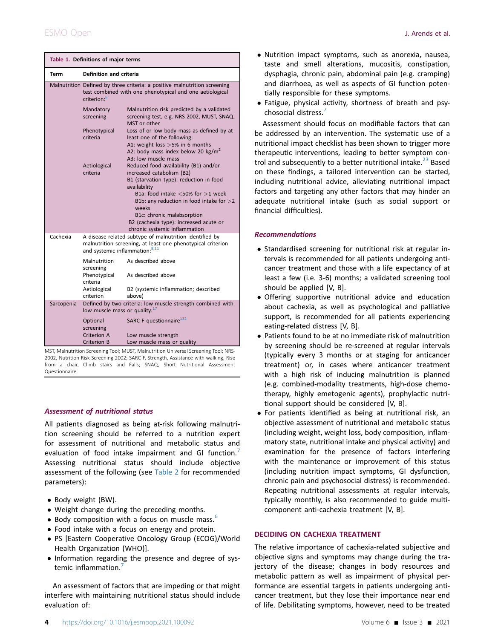<span id="page-3-0"></span>

| Table 1. Definitions of major terms                     |                                                                                                                                                                      |                                                                                                                                                                                       |  |  |
|---------------------------------------------------------|----------------------------------------------------------------------------------------------------------------------------------------------------------------------|---------------------------------------------------------------------------------------------------------------------------------------------------------------------------------------|--|--|
| Term                                                    | Definition and criteria                                                                                                                                              |                                                                                                                                                                                       |  |  |
|                                                         | Malnutrition Defined by three criteria: a positive malnutrition screening<br>test combined with one phenotypical and one aetiological<br>criterion: <sup>8</sup>     |                                                                                                                                                                                       |  |  |
|                                                         | Mandatory<br>screening                                                                                                                                               | Malnutrition risk predicted by a validated<br>screening test, e.g. NRS-2002, MUST, SNAQ,<br>MST or other                                                                              |  |  |
|                                                         | Phenotypical<br>criteria                                                                                                                                             | Loss of or low body mass as defined by at<br>least one of the following:<br>A1: weight loss > 5% in 6 months<br>A2: body mass index below 20 kg/m <sup>2</sup><br>A3: low muscle mass |  |  |
|                                                         | Aetiological<br>criteria                                                                                                                                             | Reduced food availability (B1) and/or<br>increased catabolism (B2)<br>B1 (starvation type): reduction in food<br>availability<br>B1a: food intake $<$ 50% for $>$ 1 week              |  |  |
|                                                         |                                                                                                                                                                      | B1b: any reduction in food intake for $>$ 2<br>weeks<br>B1c: chronic malabsorption<br>B2 (cachexia type): increased acute or<br>chronic systemic inflammation                         |  |  |
| Cachexia                                                | A disease-related subtype of malnutrition identified by<br>malnutrition screening, at least one phenotypical criterion<br>and systemic inflammation: <sup>8,11</sup> |                                                                                                                                                                                       |  |  |
|                                                         | Malnutrition<br>screening<br>Phenotypical<br>criteria                                                                                                                | As described above<br>As described above                                                                                                                                              |  |  |
|                                                         | Aetiological<br>criterion                                                                                                                                            | B2 (systemic inflammation; described<br>above)                                                                                                                                        |  |  |
| Sarcopenia<br>low muscle mass or quality. <sup>17</sup> |                                                                                                                                                                      | Defined by two criteria: low muscle strength combined with                                                                                                                            |  |  |
|                                                         | Optional<br>screening                                                                                                                                                | SARC-F questionnaire <sup>132</sup>                                                                                                                                                   |  |  |
|                                                         | Criterion A<br>Criterion B                                                                                                                                           | Low muscle strength<br>Low muscle mass or quality                                                                                                                                     |  |  |

MST, Malnutrition Screening Tool; MUST, Malnutrition Universal Screening Tool; NRS-2002, Nutrition Risk Screening 2002; SARC-F, Strength, Assistance with walking, Rise from a chair, Climb stairs and Falls; SNAQ, Short Nutritional Assessment Questionnaire.

### Assessment of nutritional status

All patients diagnosed as being at-risk following malnutrition screening should be referred to a nutrition expert for assessment of nutritional and metabolic status and evaluation of food intake impairment and GI function.<sup>[7](#page-14-6)</sup> Assessing nutritional status should include objective assessment of the following (see [Table 2](#page-5-0) for recommended parameters):

- Body weight (BW).
- Weight change during the preceding months.
- Body composition with a focus on muscle mass. $6$
- Food intake with a focus on energy and protein.
- PS [Eastern Cooperative Oncology Group (ECOG)/World Health Organization (WHO)].
- Information regarding the presence and degree of systemic inflammation.

An assessment of factors that are impeding or that might interfere with maintaining nutritional status should include evaluation of:

- Nutrition impact symptoms, such as anorexia, nausea, taste and smell alterations, mucositis, constipation, dysphagia, chronic pain, abdominal pain (e.g. cramping) and diarrhoea, as well as aspects of GI function potentially responsible for these symptoms.
- Fatigue, physical activity, shortness of breath and psychosocial distress.[7](#page-14-6)

Assessment should focus on modifiable factors that can be addressed by an intervention. The systematic use of a nutritional impact checklist has been shown to trigger more therapeutic interventions, leading to better symptom control and subsequently to a better nutritional intake. $^{23}$  $^{23}$  $^{23}$  Based on these findings, a tailored intervention can be started, including nutritional advice, alleviating nutritional impact factors and targeting any other factors that may hinder an adequate nutritional intake (such as social support or financial difficulties).

### Recommendations

- Standardised screening for nutritional risk at regular intervals is recommended for all patients undergoing anticancer treatment and those with a life expectancy of at least a few (i.e. 3-6) months; a validated screening tool should be applied [V, B].
- Offering supportive nutritional advice and education about cachexia, as well as psychological and palliative support, is recommended for all patients experiencing eating-related distress [V, B].
- Patients found to be at no immediate risk of malnutrition by screening should be re-screened at regular intervals (typically every 3 months or at staging for anticancer treatment) or, in cases where anticancer treatment with a high risk of inducing malnutrition is planned (e.g. combined-modality treatments, high-dose chemotherapy, highly emetogenic agents), prophylactic nutritional support should be considered [V, B].
- For patients identified as being at nutritional risk, an objective assessment of nutritional and metabolic status (including weight, weight loss, body composition, inflammatory state, nutritional intake and physical activity) and examination for the presence of factors interfering with the maintenance or improvement of this status (including nutrition impact symptoms, GI dysfunction, chronic pain and psychosocial distress) is recommended. Repeating nutritional assessments at regular intervals, typically monthly, is also recommended to guide multicomponent anti-cachexia treatment [V, B].

### DECIDING ON CACHEXIA TREATMENT

The relative importance of cachexia-related subjective and objective signs and symptoms may change during the trajectory of the disease; changes in body resources and metabolic pattern as well as impairment of physical performance are essential targets in patients undergoing anticancer treatment, but they lose their importance near end of life. Debilitating symptoms, however, need to be treated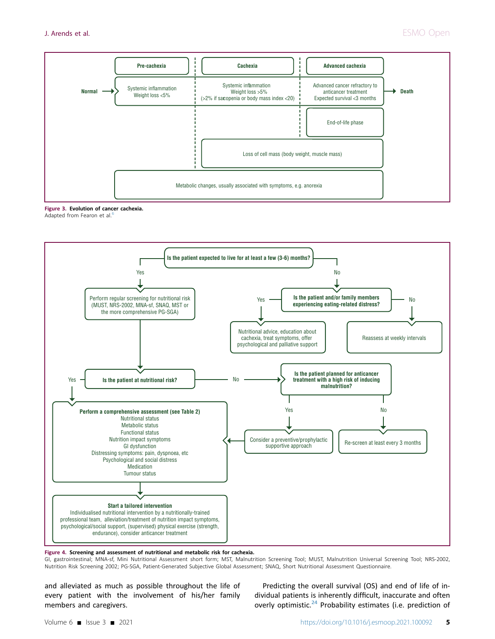<span id="page-4-1"></span>

Figure 3. Evolution of cancer cachexia.



<span id="page-4-0"></span>

Figure 4. Screening and assessment of nutritional and metabolic risk for cachexia.

GI, gastrointestinal; MNA-sf, Mini Nutritional Assessment short form; MST, Malnutrition Screening Tool; MUST, Malnutrition Universal Screening Tool; NRS-2002, Nutrition Risk Screening 2002; PG-SGA, Patient-Generated Subjective Global Assessment; SNAQ, Short Nutritional Assessment Questionnaire.

and alleviated as much as possible throughout the life of every patient with the involvement of his/her family members and caregivers.

Predicting the overall survival (OS) and end of life of individual patients is inherently difficult, inaccurate and often overly optimistic.<sup>24</sup> Probability estimates (i.e. prediction of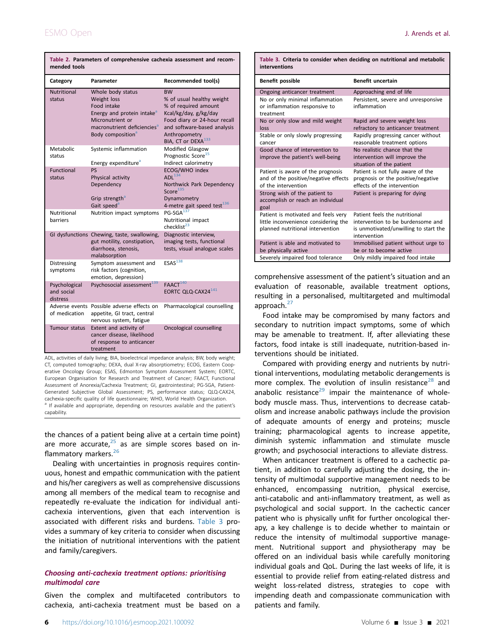| mended tools                            |                                                                                                                                                                                           |                                                                                                                                                                                                           |  |  |  |
|-----------------------------------------|-------------------------------------------------------------------------------------------------------------------------------------------------------------------------------------------|-----------------------------------------------------------------------------------------------------------------------------------------------------------------------------------------------------------|--|--|--|
| Category                                | Parameter                                                                                                                                                                                 | Recommended tool(s)                                                                                                                                                                                       |  |  |  |
| <b>Nutritional</b><br>status            | Whole body status<br>Weight loss<br>Food intake<br>Energy and protein intake <sup>a</sup><br>Micronutrient or<br>macronutrient deficiencies <sup>a</sup><br>Body composition <sup>a</sup> | <b>BW</b><br>% of usual healthy weight<br>% of required amount<br>Kcal/kg/day, g/kg/day<br>Food diary or 24-hour recall<br>and software-based analysis<br>Anthropometry<br>BIA, CT or DEXA <sup>133</sup> |  |  |  |
| Metabolic<br>status                     | Systemic inflammation<br>Energy expenditure <sup>a</sup>                                                                                                                                  | <b>Modified Glasgow</b><br>Prognostic Score <sup>15</sup><br>Indirect calorimetry                                                                                                                         |  |  |  |
| Functional<br>status                    | <b>PS</b><br>Physical activity<br>Dependency<br>Grip strength <sup>a</sup><br>Gait speed <sup>a</sup>                                                                                     | ECOG/WHO index<br>$ADI$ <sup>134</sup><br>Northwick Park Dependency<br>Score <sup>135</sup><br>Dynamometry<br>4-metre gait speed test <sup>136</sup>                                                      |  |  |  |
| Nutritional<br>barriers                 | Nutrition impact symptoms                                                                                                                                                                 | $PG-SGA$ <sup>137</sup><br>Nutritional impact<br>checklist <sup>23</sup>                                                                                                                                  |  |  |  |
|                                         | GI dysfunctions Chewing, taste, swallowing,<br>gut motility, constipation,<br>diarrhoea, stenosis,<br>malabsorption                                                                       | Diagnostic interview,<br>imaging tests, functional<br>tests, visual analogue scales                                                                                                                       |  |  |  |
| Distressing<br>symptoms                 | Symptom assessment and<br>risk factors (cognition,<br>emotion, depression)                                                                                                                | ESAS <sup>138</sup>                                                                                                                                                                                       |  |  |  |
| Psychological<br>and social<br>distress | Psychosocial assessment <sup>139</sup>                                                                                                                                                    | FAACT <sup>140</sup><br>EORTC QLQ-CAX24 <sup>141</sup>                                                                                                                                                    |  |  |  |
| of medication                           | Adverse events Possible adverse effects on<br>appetite, GI tract, central<br>nervous system, fatigue                                                                                      | Pharmacological counselling                                                                                                                                                                               |  |  |  |
| Tumour status                           | Extent and activity of<br>cancer disease, likelihood<br>of response to anticancer<br>treatment                                                                                            | Oncological counselling                                                                                                                                                                                   |  |  |  |

<span id="page-5-0"></span>Table 2. Parameters of comprehensive cachexia assessment and recom-

ADL, activities of daily living; BIA, bioelectrical impedance analysis; BW, body weight; CT, computed tomography; DEXA, dual X-ray absorptiometry; ECOG, Eastern Cooperative Oncology Group; ESAS, Edmonton Symptom Assessment System; EORTC, European Organisation for Research and Treatment of Cancer; FAACT, Functional Assessment of Anorexia/Cachexia Treatment; GI, gastrointestinal; PG-SGA, Patient-Generated Subjective Global Assessment; PS, performance status; QLQ-CAX24, cachexia-specific quality of life questionnaire; WHO, World Health Organization.<br><sup>a</sup> If available and appropriate, depending on resources available and the patient's capability.

<span id="page-5-2"></span>the chances of a patient being alive at a certain time point) are more accurate, $25$  as are simple scores based on inflammatory markers.<sup>26</sup>

Dealing with uncertainties in prognosis requires continuous, honest and empathic communication with the patient and his/her caregivers as well as comprehensive discussions among all members of the medical team to recognise and repeatedly re-evaluate the indication for individual anticachexia interventions, given that each intervention is associated with different risks and burdens. [Table 3](#page-5-1) provides a summary of key criteria to consider when discussing the initiation of nutritional interventions with the patient and family/caregivers.

### Choosing anti-cachexia treatment options: prioritising multimodal care

Given the complex and multifaceted contributors to cachexia, anti-cachexia treatment must be based on a

<span id="page-5-1"></span>

|               |  |  | Table 3. Criteria to consider when deciding on nutritional and metabolic |  |
|---------------|--|--|--------------------------------------------------------------------------|--|
| interventions |  |  |                                                                          |  |

| Benefit possible                                                                                                | <b>Benefit uncertain</b>                                                                                                    |  |  |  |
|-----------------------------------------------------------------------------------------------------------------|-----------------------------------------------------------------------------------------------------------------------------|--|--|--|
| Ongoing anticancer treatment                                                                                    | Approaching end of life                                                                                                     |  |  |  |
| No or only minimal inflammation<br>or inflammation responsive to<br>treatment                                   | Persistent, severe and unresponsive<br>inflammation                                                                         |  |  |  |
| No or only slow and mild weight<br>loss                                                                         | Rapid and severe weight loss<br>refractory to anticancer treatment                                                          |  |  |  |
| Stable or only slowly progressing<br>cancer                                                                     | Rapidly progressing cancer without<br>reasonable treatment options                                                          |  |  |  |
| Good chance of intervention to<br>improve the patient's well-being                                              | No realistic chance that the<br>intervention will improve the<br>situation of the patient                                   |  |  |  |
| Patient is aware of the prognosis<br>and of the positive/negative effects<br>of the intervention                | Patient is not fully aware of the<br>prognosis or the positive/negative<br>effects of the intervention                      |  |  |  |
| Strong wish of the patient to<br>accomplish or reach an individual<br>goal                                      | Patient is preparing for dying                                                                                              |  |  |  |
| Patient is motivated and feels very<br>little inconvenience considering the<br>planned nutritional intervention | Patient feels the nutritional<br>intervention to be burdensome and<br>is unmotivated/unwilling to start the<br>intervention |  |  |  |
| Patient is able and motivated to<br>be physically active                                                        | Immobilised patient without urge to<br>be or to become active                                                               |  |  |  |
| Severely impaired food tolerance                                                                                | Only mildly impaired food intake                                                                                            |  |  |  |

comprehensive assessment of the patient's situation and an evaluation of reasonable, available treatment options, resulting in a personalised, multitargeted and multimodal approach. $27$ 

Food intake may be compromised by many factors and secondary to nutrition impact symptoms, some of which may be amenable to treatment. If, after alleviating these factors, food intake is still inadequate, nutrition-based interventions should be initiated.

Compared with providing energy and nutrients by nutritional interventions, modulating metabolic derangements is more complex. The evolution of insulin resistance<sup>[28](#page-14-27)</sup> and anabolic resistance<sup>[29](#page-15-0)</sup> impair the maintenance of wholebody muscle mass. Thus, interventions to decrease catabolism and increase anabolic pathways include the provision of adequate amounts of energy and proteins; muscle training; pharmacological agents to increase appetite, diminish systemic inflammation and stimulate muscle growth; and psychosocial interactions to alleviate distress.

When anticancer treatment is offered to a cachectic patient, in addition to carefully adjusting the dosing, the intensity of multimodal supportive management needs to be enhanced, encompassing nutrition, physical exercise, anti-catabolic and anti-inflammatory treatment, as well as psychological and social support. In the cachectic cancer patient who is physically unfit for further oncological therapy, a key challenge is to decide whether to maintain or reduce the intensity of multimodal supportive management. Nutritional support and physiotherapy may be offered on an individual basis while carefully monitoring individual goals and QoL. During the last weeks of life, it is essential to provide relief from eating-related distress and weight loss-related distress, strategies to cope with impending death and compassionate communication with patients and family.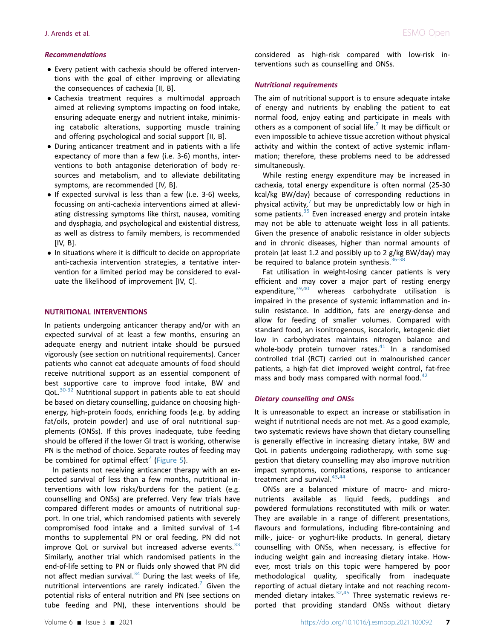### Recommendations

- Every patient with cachexia should be offered interventions with the goal of either improving or alleviating the consequences of cachexia [II, B].
- Cachexia treatment requires a multimodal approach aimed at relieving symptoms impacting on food intake, ensuring adequate energy and nutrient intake, minimising catabolic alterations, supporting muscle training and offering psychological and social support [II, B].
- During anticancer treatment and in patients with a life expectancy of more than a few (i.e. 3-6) months, interventions to both antagonise deterioration of body resources and metabolism, and to alleviate debilitating symptoms, are recommended [IV, B].
- $\bullet$  If expected survival is less than a few (i.e. 3-6) weeks, focussing on anti-cachexia interventions aimed at alleviating distressing symptoms like thirst, nausea, vomiting and dysphagia, and psychological and existential distress, as well as distress to family members, is recommended [IV, B].
- In situations where it is difficult to decide on appropriate anti-cachexia intervention strategies, a tentative intervention for a limited period may be considered to evaluate the likelihood of improvement [IV, C].

### NUTRITIONAL INTERVENTIONS

In patients undergoing anticancer therapy and/or with an expected survival of at least a few months, ensuring an adequate energy and nutrient intake should be pursued vigorously (see section on nutritional requirements). Cancer patients who cannot eat adequate amounts of food should receive nutritional support as an essential component of best supportive care to improve food intake, BW and QoL.<sup>[30-32](#page-15-1)</sup> Nutritional support in patients able to eat should be based on dietary counselling, guidance on choosing highenergy, high-protein foods, enriching foods (e.g. by adding fat/oils, protein powder) and use of oral nutritional supplements (ONSs). If this proves inadequate, tube feeding should be offered if the lower GI tract is working, otherwise PN is the method of choice. Separate routes of feeding may be combined for optimal effect<sup>[7](#page-14-6)</sup> ([Figure 5](#page-7-0)).

In patients not receiving anticancer therapy with an expected survival of less than a few months, nutritional interventions with low risks/burdens for the patient (e.g. counselling and ONSs) are preferred. Very few trials have compared different modes or amounts of nutritional support. In one trial, which randomised patients with severely compromised food intake and a limited survival of 1-4 months to supplemental PN or oral feeding, PN did not improve QoL or survival but increased adverse events. $33$ Similarly, another trial which randomised patients in the end-of-life setting to PN or fluids only showed that PN did not affect median survival. $34$  During the last weeks of life, nutritional interventions are rarely indicated.<sup>[7](#page-14-6)</sup> Given the potential risks of enteral nutrition and PN (see sections on tube feeding and PN), these interventions should be

considered as high-risk compared with low-risk interventions such as counselling and ONSs.

### **Nutritional requirements**

The aim of nutritional support is to ensure adequate intake of energy and nutrients by enabling the patient to eat normal food, enjoy eating and participate in meals with others as a component of social life.<sup>[7](#page-14-6)</sup> It may be difficult or even impossible to achieve tissue accretion without physical activity and within the context of active systemic inflammation; therefore, these problems need to be addressed simultaneously.

While resting energy expenditure may be increased in cachexia, total energy expenditure is often normal (25-30 kcal/kg BW/day) because of corresponding reductions in physical activity, $\frac{7}{7}$  $\frac{7}{7}$  $\frac{7}{7}$  but may be unpredictably low or high in some patients. $35$  Even increased energy and protein intake may not be able to attenuate weight loss in all patients. Given the presence of anabolic resistance in older subjects and in chronic diseases, higher than normal amounts of protein (at least 1.2 and possibly up to 2 g/kg BW/day) may be required to balance protein synthesis. $36-38$ 

Fat utilisation in weight-losing cancer patients is very efficient and may cover a major part of resting energy expenditure, <sup>39,[40](#page-15-7)</sup> whereas carbohydrate utilisation is impaired in the presence of systemic inflammation and insulin resistance. In addition, fats are energy-dense and allow for feeding of smaller volumes. Compared with standard food, an isonitrogenous, isocaloric, ketogenic diet low in carbohydrates maintains nitrogen balance and whole-body protein turnover rates. $41$  In a randomised controlled trial (RCT) carried out in malnourished cancer patients, a high-fat diet improved weight control, fat-free mass and body mass compared with normal food. $42$ 

### Dietary counselling and ONSs

It is unreasonable to expect an increase or stabilisation in weight if nutritional needs are not met. As a good example, two systematic reviews have shown that dietary counselling is generally effective in increasing dietary intake, BW and QoL in patients undergoing radiotherapy, with some suggestion that dietary counselling may also improve nutrition impact symptoms, complications, response to anticancer treatment and survival. $43,44$  $43,44$  $43,44$ 

ONSs are a balanced mixture of macro- and micronutrients available as liquid feeds, puddings and powdered formulations reconstituted with milk or water. They are available in a range of different presentations, flavours and formulations, including fibre-containing and milk-, juice- or yoghurt-like products. In general, dietary counselling with ONSs, when necessary, is effective for inducing weight gain and increasing dietary intake. However, most trials on this topic were hampered by poor methodological quality, specifically from inadequate reporting of actual dietary intake and not reaching recommended dietary intakes. $32,45$  $32,45$  Three systematic reviews reported that providing standard ONSs without dietary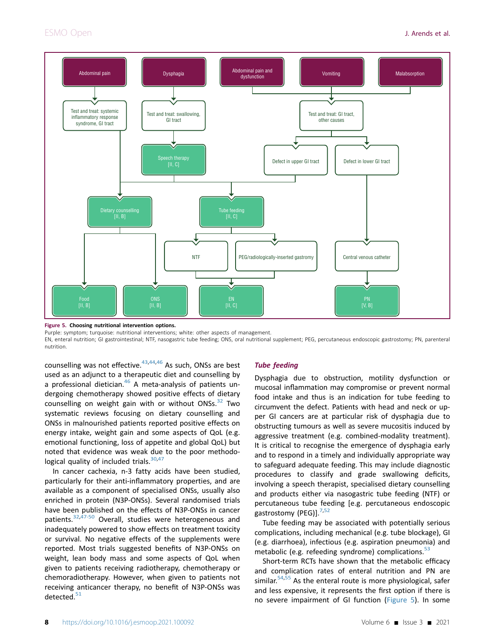<span id="page-7-0"></span>

#### Figure 5. Choosing nutritional intervention options.

Purple: symptom; turquoise: nutritional interventions; white: other aspects of management.

EN, enteral nutrition; GI gastrointestinal; NTF, nasogastric tube feeding; ONS, oral nutritional supplement; PEG, percutaneous endoscopic gastrostomy; PN, parenteral nutrition.

counselling was not effective.<sup>[43,](#page-15-10)[44](#page-15-11),[46](#page-15-14)</sup> As such, ONSs are best used as an adjunct to a therapeutic diet and counselling by a professional dietician.<sup>[46](#page-15-14)</sup> A meta-analysis of patients undergoing chemotherapy showed positive effects of dietary counselling on weight gain with or without ONSs. $32$  Two systematic reviews focusing on dietary counselling and ONSs in malnourished patients reported positive effects on energy intake, weight gain and some aspects of QoL (e.g. emotional functioning, loss of appetite and global QoL) but noted that evidence was weak due to the poor methodo-logical quality of included trials.<sup>[30,](#page-15-1)[47](#page-15-15)</sup>

In cancer cachexia, n-3 fatty acids have been studied, particularly for their anti-inflammatory properties, and are available as a component of specialised ONSs, usually also enriched in protein (N3P-ONSs). Several randomised trials have been published on the effects of N3P-ONSs in cancer patients.<sup>[32](#page-15-12),[47-50](#page-15-15)</sup> Overall, studies were heterogeneous and inadequately powered to show effects on treatment toxicity or survival. No negative effects of the supplements were reported. Most trials suggested benefits of N3P-ONSs on weight, lean body mass and some aspects of QoL when given to patients receiving radiotherapy, chemotherapy or chemoradiotherapy. However, when given to patients not receiving anticancer therapy, no benefit of N3P-ONSs was detected. $51$ 

### Tube feeding

Dysphagia due to obstruction, motility dysfunction or mucosal inflammation may compromise or prevent normal food intake and thus is an indication for tube feeding to circumvent the defect. Patients with head and neck or upper GI cancers are at particular risk of dysphagia due to obstructing tumours as well as severe mucositis induced by aggressive treatment (e.g. combined-modality treatment). It is critical to recognise the emergence of dysphagia early and to respond in a timely and individually appropriate way to safeguard adequate feeding. This may include diagnostic procedures to classify and grade swallowing deficits, involving a speech therapist, specialised dietary counselling and products either via nasogastric tube feeding (NTF) or percutaneous tube feeding [e.g. percutaneous endoscopic gastrostomy (PEG)].<sup>[7](#page-14-6),[52](#page-15-17)</sup>

Tube feeding may be associated with potentially serious complications, including mechanical (e.g. tube blockage), GI (e.g. diarrhoea), infectious (e.g. aspiration pneumonia) and metabolic (e.g. refeeding syndrome) complications. $53$ 

Short-term RCTs have shown that the metabolic efficacy and complication rates of enteral nutrition and PN are similar. $54,55$  $54,55$  As the enteral route is more physiological, safer and less expensive, it represents the first option if there is no severe impairment of GI function ([Figure 5](#page-7-0)). In some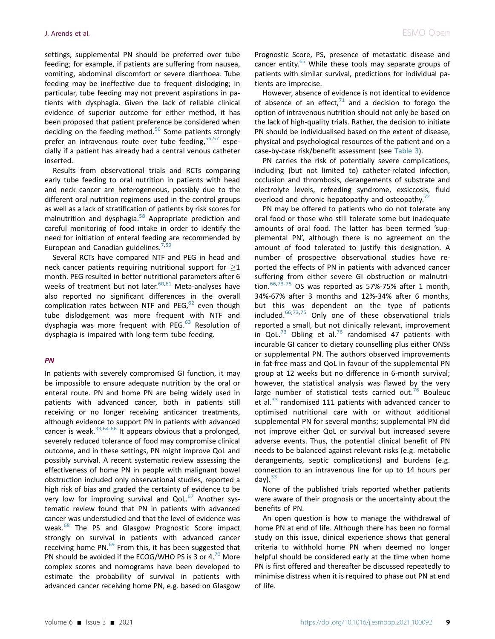settings, supplemental PN should be preferred over tube feeding; for example, if patients are suffering from nausea, vomiting, abdominal discomfort or severe diarrhoea. Tube feeding may be ineffective due to frequent dislodging; in particular, tube feeding may not prevent aspirations in patients with dysphagia. Given the lack of reliable clinical evidence of superior outcome for either method, it has been proposed that patient preference be considered when deciding on the feeding method. $56$  Some patients strongly prefer an intravenous route over tube feeding,  $56,57$  $56,57$  especially if a patient has already had a central venous catheter inserted.

Results from observational trials and RCTs comparing early tube feeding to oral nutrition in patients with head and neck cancer are heterogeneous, possibly due to the different oral nutrition regimens used in the control groups as well as a lack of stratification of patients by risk scores for malnutrition and dysphagia.<sup>[58](#page-15-23)</sup> Appropriate prediction and careful monitoring of food intake in order to identify the need for initiation of enteral feeding are recommended by European and Canadian guidelines. $7,59$  $7,59$ 

Several RCTs have compared NTF and PEG in head and neck cancer patients requiring nutritional support for  $\geq 1$ month. PEG resulted in better nutritional parameters after 6 weeks of treatment but not later. $60,61$  $60,61$  $60,61$  Meta-analyses have also reported no significant differences in the overall complication rates between NTF and PEG, $62$  even though tube dislodgement was more frequent with NTF and dysphagia was more frequent with PEG. $^{63}$  $^{63}$  $^{63}$  Resolution of dysphagia is impaired with long-term tube feeding.

### PN

In patients with severely compromised GI function, it may be impossible to ensure adequate nutrition by the oral or enteral route. PN and home PN are being widely used in patients with advanced cancer, both in patients still receiving or no longer receiving anticancer treatments, although evidence to support PN in patients with advanced cancer is weak. $33,64-66$  $33,64-66$  It appears obvious that a prolonged, severely reduced tolerance of food may compromise clinical outcome, and in these settings, PN might improve QoL and possibly survival. A recent systematic review assessing the effectiveness of home PN in people with malignant bowel obstruction included only observational studies, reported a high risk of bias and graded the certainty of evidence to be very low for improving survival and QoL. $67$  Another systematic review found that PN in patients with advanced cancer was understudied and that the level of evidence was weak.<sup>[68](#page-16-0)</sup> The PS and Glasgow Prognostic Score impact strongly on survival in patients with advanced cancer receiving home PN. $^{69}$  $^{69}$  $^{69}$  From this, it has been suggested that PN should be avoided if the ECOG/WHO PS is 3 or  $4.^{70}$  $4.^{70}$  $4.^{70}$  More complex scores and nomograms have been developed to estimate the probability of survival in patients with advanced cancer receiving home PN, e.g. based on Glasgow

Prognostic Score, PS, presence of metastatic disease and cancer entity.<sup>[65](#page-15-31)</sup> While these tools may separate groups of patients with similar survival, predictions for individual patients are imprecise.

However, absence of evidence is not identical to evidence of absence of an effect, $71$  and a decision to forego the option of intravenous nutrition should not only be based on the lack of high-quality trials. Rather, the decision to initiate PN should be individualised based on the extent of disease, physical and psychological resources of the patient and on a case-by-case risk/benefit assessment (see [Table 3](#page-5-1)).

PN carries the risk of potentially severe complications, including (but not limited to) catheter-related infection, occlusion and thrombosis, derangements of substrate and electrolyte levels, refeeding syndrome, exsiccosis, fluid overload and chronic hepatopathy and osteopathy.<sup>[72](#page-16-4)</sup>

PN may be offered to patients who do not tolerate any oral food or those who still tolerate some but inadequate amounts of oral food. The latter has been termed 'supplemental PN', although there is no agreement on the amount of food tolerated to justify this designation. A number of prospective observational studies have reported the effects of PN in patients with advanced cancer suffering from either severe GI obstruction or malnutrition.  $66,73-75$  $66,73-75$  OS was reported as 57%-75% after 1 month, 34%-67% after 3 months and 12%-34% after 6 months, but this was dependent on the type of patients included. $66,73,75$  $66,73,75$  $66,73,75$  Only one of these observational trials reported a small, but not clinically relevant, improvement in QoL.<sup>[73](#page-16-5)</sup> Obling et al.<sup>[76](#page-16-7)</sup> randomised 47 patients with incurable GI cancer to dietary counselling plus either ONSs or supplemental PN. The authors observed improvements in fat-free mass and QoL in favour of the supplemental PN group at 12 weeks but no difference in 6-month survival; however, the statistical analysis was flawed by the very large number of statistical tests carried out.<sup>[76](#page-16-7)</sup> Bouleuc et al.<sup>[33](#page-15-2)</sup> randomised 111 patients with advanced cancer to optimised nutritional care with or without additional supplemental PN for several months; supplemental PN did not improve either QoL or survival but increased severe adverse events. Thus, the potential clinical benefit of PN needs to be balanced against relevant risks (e.g. metabolic derangements, septic complications) and burdens (e.g. connection to an intravenous line for up to 14 hours per day).  $33$ 

None of the published trials reported whether patients were aware of their prognosis or the uncertainty about the benefits of PN.

An open question is how to manage the withdrawal of home PN at end of life. Although there has been no formal study on this issue, clinical experience shows that general criteria to withhold home PN when deemed no longer helpful should be considered early at the time when home PN is first offered and thereafter be discussed repeatedly to minimise distress when it is required to phase out PN at end of life.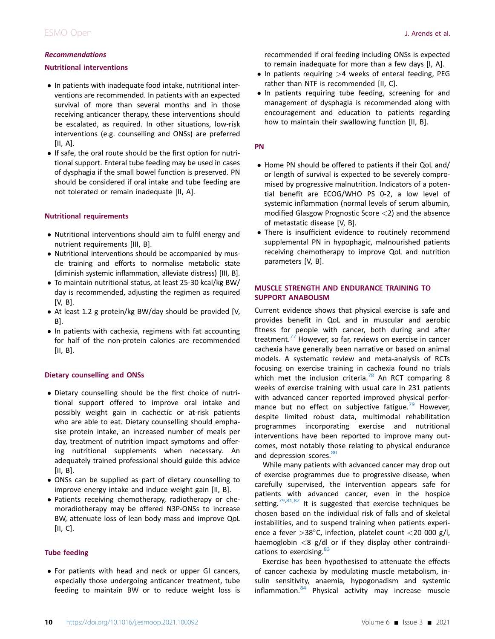### Recommendations

### Nutritional interventions

- In patients with inadequate food intake, nutritional interventions are recommended. In patients with an expected survival of more than several months and in those receiving anticancer therapy, these interventions should be escalated, as required. In other situations, low-risk interventions (e.g. counselling and ONSs) are preferred [II, A].
- If safe, the oral route should be the first option for nutritional support. Enteral tube feeding may be used in cases of dysphagia if the small bowel function is preserved. PN should be considered if oral intake and tube feeding are not tolerated or remain inadequate [II, A].

### Nutritional requirements

- Nutritional interventions should aim to fulfil energy and nutrient requirements [III, B].
- Nutritional interventions should be accompanied by muscle training and efforts to normalise metabolic state (diminish systemic inflammation, alleviate distress) [III, B].
- To maintain nutritional status, at least 25-30 kcal/kg BW/ day is recommended, adjusting the regimen as required [V, B].
- At least 1.2 g protein/kg BW/day should be provided [V, B].
- In patients with cachexia, regimens with fat accounting for half of the non-protein calories are recommended [II, B].

### Dietary counselling and ONSs

- Dietary counselling should be the first choice of nutritional support offered to improve oral intake and possibly weight gain in cachectic or at-risk patients who are able to eat. Dietary counselling should emphasise protein intake, an increased number of meals per day, treatment of nutrition impact symptoms and offering nutritional supplements when necessary. An adequately trained professional should guide this advice [II, B].
- ONSs can be supplied as part of dietary counselling to improve energy intake and induce weight gain [II, B].
- Patients receiving chemotherapy, radiotherapy or chemoradiotherapy may be offered N3P-ONSs to increase BW, attenuate loss of lean body mass and improve QoL [II, C].

### Tube feeding

 For patients with head and neck or upper GI cancers, especially those undergoing anticancer treatment, tube feeding to maintain BW or to reduce weight loss is recommended if oral feeding including ONSs is expected to remain inadequate for more than a few days [I, A].

- $\bullet$  In patients requiring  $>4$  weeks of enteral feeding, PEG rather than NTF is recommended [II, C].
- In patients requiring tube feeding, screening for and management of dysphagia is recommended along with encouragement and education to patients regarding how to maintain their swallowing function [II, B].

### PN

- Home PN should be offered to patients if their QoL and/ or length of survival is expected to be severely compromised by progressive malnutrition. Indicators of a potential benefit are ECOG/WHO PS 0-2, a low level of systemic inflammation (normal levels of serum albumin, modified Glasgow Prognostic Score  $\langle 2 \rangle$  and the absence of metastatic disease [V, B].
- There is insufficient evidence to routinely recommend supplemental PN in hypophagic, malnourished patients receiving chemotherapy to improve QoL and nutrition parameters [V, B].

### MUSCLE STRENGTH AND ENDURANCE TRAINING TO SUPPORT ANABOLISM

Current evidence shows that physical exercise is safe and provides benefit in QoL and in muscular and aerobic fitness for people with cancer, both during and after treatment. $77$  However, so far, reviews on exercise in cancer cachexia have generally been narrative or based on animal models. A systematic review and meta-analysis of RCTs focusing on exercise training in cachexia found no trials which met the inclusion criteria.<sup>[78](#page-16-9)</sup> An RCT comparing 8 weeks of exercise training with usual care in 231 patients with advanced cancer reported improved physical perfor-mance but no effect on subjective fatigue.<sup>[79](#page-16-10)</sup> However, despite limited robust data, multimodal rehabilitation programmes incorporating exercise and nutritional interventions have been reported to improve many outcomes, most notably those relating to physical endurance and depression scores. [80](#page-16-11)

While many patients with advanced cancer may drop out of exercise programmes due to progressive disease, when carefully supervised, the intervention appears safe for patients with advanced cancer, even in the hospice setting.<sup>79,[81,](#page-16-12)[82](#page-16-13)</sup> It is suggested that exercise techniques be chosen based on the individual risk of falls and of skeletal instabilities, and to suspend training when patients experience a fever  $>38^{\circ}$ C, infection, platelet count <20 000 g/l, haemoglobin  $<$ 8 g/dl or if they display other contraindi-cations to exercising.<sup>[83](#page-16-14)</sup>

Exercise has been hypothesised to attenuate the effects of cancer cachexia by modulating muscle metabolism, insulin sensitivity, anaemia, hypogonadism and systemic  $inflammation.<sup>84</sup>$  $inflammation.<sup>84</sup>$  $inflammation.<sup>84</sup>$  Physical activity may increase muscle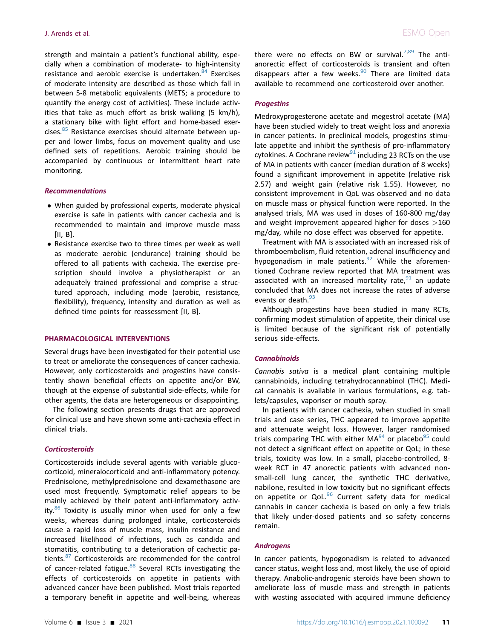strength and maintain a patient's functional ability, especially when a combination of moderate- to high-intensity resistance and aerobic exercise is undertaken.<sup>[84](#page-16-15)</sup> Exercises of moderate intensity are described as those which fall in between 5-8 metabolic equivalents (METS; a procedure to quantify the energy cost of activities). These include activities that take as much effort as brisk walking (5 km/h), a stationary bike with light effort and home-based exer-cises.<sup>[85](#page-16-16)</sup> Resistance exercises should alternate between upper and lower limbs, focus on movement quality and use defined sets of repetitions. Aerobic training should be accompanied by continuous or intermittent heart rate monitoring.

#### Recommendations

- When guided by professional experts, moderate physical exercise is safe in patients with cancer cachexia and is recommended to maintain and improve muscle mass [II, B].
- Resistance exercise two to three times per week as well as moderate aerobic (endurance) training should be offered to all patients with cachexia. The exercise prescription should involve a physiotherapist or an adequately trained professional and comprise a structured approach, including mode (aerobic, resistance, flexibility), frequency, intensity and duration as well as defined time points for reassessment [II, B].

#### PHARMACOLOGICAL INTERVENTIONS

Several drugs have been investigated for their potential use to treat or ameliorate the consequences of cancer cachexia. However, only corticosteroids and progestins have consistently shown beneficial effects on appetite and/or BW, though at the expense of substantial side-effects, while for other agents, the data are heterogeneous or disappointing.

The following section presents drugs that are approved for clinical use and have shown some anti-cachexia effect in clinical trials.

#### **Corticosteroids**

Corticosteroids include several agents with variable glucocorticoid, mineralocorticoid and anti-inflammatory potency. Prednisolone, methylprednisolone and dexamethasone are used most frequently. Symptomatic relief appears to be mainly achieved by their potent anti-inflammatory activity. $86$  Toxicity is usually minor when used for only a few weeks, whereas during prolonged intake, corticosteroids cause a rapid loss of muscle mass, insulin resistance and increased likelihood of infections, such as candida and stomatitis, contributing to a deterioration of cachectic pa-tients.<sup>[87](#page-16-18)</sup> Corticosteroids are recommended for the control of cancer-related fatigue.<sup>[88](#page-16-19)</sup> Several RCTs investigating the effects of corticosteroids on appetite in patients with advanced cancer have been published. Most trials reported a temporary benefit in appetite and well-being, whereas there were no effects on BW or survival.<sup>7,[89](#page-16-20)</sup> The antianorectic effect of corticosteroids is transient and often disappears after a few weeks. $90$  There are limited data available to recommend one corticosteroid over another.

#### **Progestins**

Medroxyprogesterone acetate and megestrol acetate (MA) have been studied widely to treat weight loss and anorexia in cancer patients. In preclinical models, progestins stimulate appetite and inhibit the synthesis of pro-inflammatory cytokines. A Cochrane review<sup>[91](#page-16-22)</sup> including 23 RCTs on the use of MA in patients with cancer (median duration of 8 weeks) found a significant improvement in appetite (relative risk 2.57) and weight gain (relative risk 1.55). However, no consistent improvement in QoL was observed and no data on muscle mass or physical function were reported. In the analysed trials, MA was used in doses of 160-800 mg/day and weight improvement appeared higher for doses >160 mg/day, while no dose effect was observed for appetite.

Treatment with MA is associated with an increased risk of thromboembolism, fluid retention, adrenal insufficiency and hypogonadism in male patients. $92$  While the aforementioned Cochrane review reported that MA treatment was associated with an increased mortality rate,  $91$  an update concluded that MA does not increase the rates of adverse events or death.<sup>[93](#page-16-24)</sup>

Although progestins have been studied in many RCTs, confirming modest stimulation of appetite, their clinical use is limited because of the significant risk of potentially serious side-effects.

### **Cannabinoids**

Cannabis sativa is a medical plant containing multiple cannabinoids, including tetrahydrocannabinol (THC). Medical cannabis is available in various formulations, e.g. tablets/capsules, vaporiser or mouth spray.

In patients with cancer cachexia, when studied in small trials and case series, THC appeared to improve appetite and attenuate weight loss. However, larger randomised trials comparing THC with either  $MA<sup>94</sup>$  $MA<sup>94</sup>$  $MA<sup>94</sup>$  or placebo<sup>[95](#page-16-26)</sup> could not detect a significant effect on appetite or QoL; in these trials, toxicity was low. In a small, placebo-controlled, 8 week RCT in 47 anorectic patients with advanced nonsmall-cell lung cancer, the synthetic THC derivative, nabilone, resulted in low toxicity but no significant effects on appetite or  $QoL<sup>96</sup>$  $QoL<sup>96</sup>$  $QoL<sup>96</sup>$  Current safety data for medical cannabis in cancer cachexia is based on only a few trials that likely under-dosed patients and so safety concerns remain.

#### Androgens

In cancer patients, hypogonadism is related to advanced cancer status, weight loss and, most likely, the use of opioid therapy. Anabolic-androgenic steroids have been shown to ameliorate loss of muscle mass and strength in patients with wasting associated with acquired immune deficiency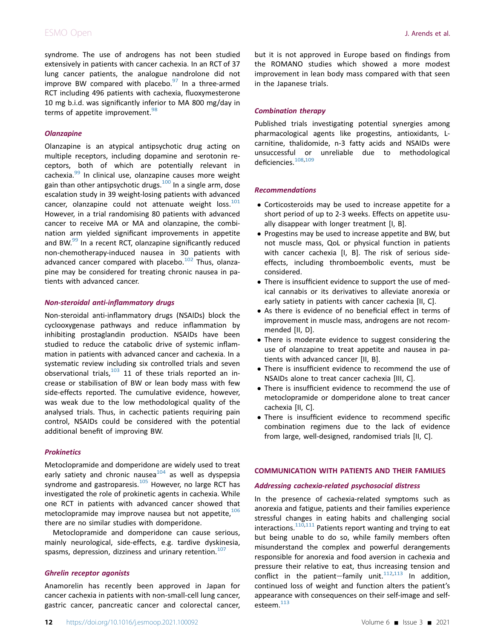# ESMO Open **J. Arends et al.**

syndrome. The use of androgens has not been studied extensively in patients with cancer cachexia. In an RCT of 37 lung cancer patients, the analogue nandrolone did not improve BW compared with placebo. $97$  In a three-armed RCT including 496 patients with cachexia, fluoxymesterone 10 mg b.i.d. was significantly inferior to MA 800 mg/day in terms of appetite improvement. $98$ 

### **Olanzapine**

Olanzapine is an atypical antipsychotic drug acting on multiple receptors, including dopamine and serotonin receptors, both of which are potentially relevant in cachexia.<sup>[99](#page-16-30)</sup> In clinical use, olanzapine causes more weight gain than other antipsychotic drugs. $100$  In a single arm, dose escalation study in 39 weight-losing patients with advanced cancer, olanzapine could not attenuate weight  $loss.<sup>101</sup>$  $loss.<sup>101</sup>$  $loss.<sup>101</sup>$ However, in a trial randomising 80 patients with advanced cancer to receive MA or MA and olanzapine, the combination arm yielded significant improvements in appetite and BW.<sup>[99](#page-16-30)</sup> In a recent RCT, olanzapine significantly reduced non-chemotherapy-induced nausea in 30 patients with advanced cancer compared with placebo.<sup>[102](#page-16-33)</sup> Thus, olanzapine may be considered for treating chronic nausea in patients with advanced cancer.

### Non-steroidal anti-inflammatory drugs

Non-steroidal anti-inflammatory drugs (NSAIDs) block the cyclooxygenase pathways and reduce inflammation by inhibiting prostaglandin production. NSAIDs have been studied to reduce the catabolic drive of systemic inflammation in patients with advanced cancer and cachexia. In a systematic review including six controlled trials and seven observational trials, $103$  11 of these trials reported an increase or stabilisation of BW or lean body mass with few side-effects reported. The cumulative evidence, however, was weak due to the low methodological quality of the analysed trials. Thus, in cachectic patients requiring pain control, NSAIDs could be considered with the potential additional benefit of improving BW.

### **Prokinetics**

Metoclopramide and domperidone are widely used to treat early satiety and chronic nausea $104$  as well as dyspepsia syndrome and gastroparesis.<sup>[105](#page-16-36)</sup> However, no large RCT has investigated the role of prokinetic agents in cachexia. While one RCT in patients with advanced cancer showed that metoclopramide may improve nausea but not appetite,  $106$ there are no similar studies with domperidone.

Metoclopramide and domperidone can cause serious, mainly neurological, side-effects, e.g. tardive dyskinesia, spasms, depression, dizziness and urinary retention. $107$ 

### Ghrelin receptor agonists

Anamorelin has recently been approved in Japan for cancer cachexia in patients with non-small-cell lung cancer, gastric cancer, pancreatic cancer and colorectal cancer,

but it is not approved in Europe based on findings from the ROMANO studies which showed a more modest improvement in lean body mass compared with that seen in the Japanese trials.

### Combination therapy

Published trials investigating potential synergies among pharmacological agents like progestins, antioxidants, Lcarnitine, thalidomide, n-3 fatty acids and NSAIDs were unsuccessful or unreliable due to methodological deficiencies.<sup>[108,](#page-16-39)[109](#page-16-40)</sup>

#### Recommendations

- Corticosteroids may be used to increase appetite for a short period of up to 2-3 weeks. Effects on appetite usually disappear with longer treatment [I, B].
- Progestins may be used to increase appetite and BW, but not muscle mass, QoL or physical function in patients with cancer cachexia [I, B]. The risk of serious sideeffects, including thromboembolic events, must be considered.
- There is insufficient evidence to support the use of medical cannabis or its derivatives to alleviate anorexia or early satiety in patients with cancer cachexia [II, C].
- As there is evidence of no beneficial effect in terms of improvement in muscle mass, androgens are not recommended [II, D].
- There is moderate evidence to suggest considering the use of olanzapine to treat appetite and nausea in patients with advanced cancer [II, B].
- There is insufficient evidence to recommend the use of NSAIDs alone to treat cancer cachexia [III, C].
- There is insufficient evidence to recommend the use of metoclopramide or domperidone alone to treat cancer cachexia [II, C].
- There is insufficient evidence to recommend specific combination regimens due to the lack of evidence from large, well-designed, randomised trials [II, C].

### COMMUNICATION WITH PATIENTS AND THEIR FAMILIES

#### Addressing cachexia-related psychosocial distress

In the presence of cachexia-related symptoms such as anorexia and fatigue, patients and their families experience stressful changes in eating habits and challenging social interactions. $110,111$  $110,111$  Patients report wanting and trying to eat but being unable to do so, while family members often misunderstand the complex and powerful derangements responsible for anorexia and food aversion in cachexia and pressure their relative to eat, thus increasing tension and conflict in the patient-family unit. $112,113$  $112,113$  In addition, continued loss of weight and function alters the patient's appearance with consequences on their self-image and self-esteem.<sup>[113](#page-17-12)</sup>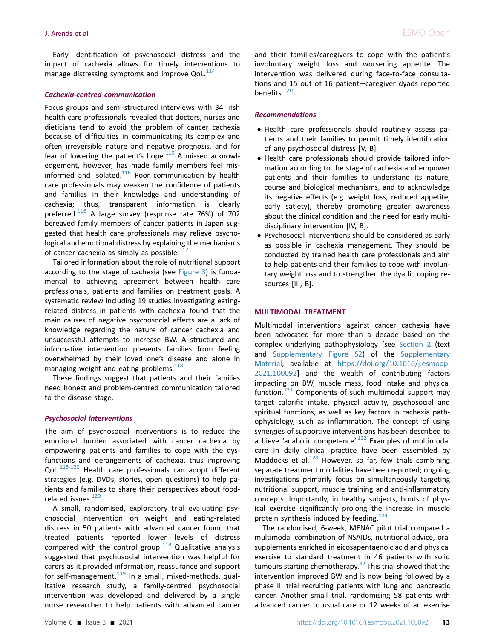Early identification of psychosocial distress and the impact of cachexia allows for timely interventions to manage distressing symptoms and improve  $QoL$ <sup>[114](#page-17-13)</sup>

#### Cachexia-centred communication

Focus groups and semi-structured interviews with 34 Irish health care professionals revealed that doctors, nurses and dieticians tend to avoid the problem of cancer cachexia because of difficulties in communicating its complex and often irreversible nature and negative prognosis, and for fear of lowering the patient's hope. $115$  A missed acknowledgement, however, has made family members feel misinformed and isolated. $116$  Poor communication by health care professionals may weaken the confidence of patients and families in their knowledge and understanding of cachexia; thus, transparent information is clearly preferred.<sup>[116](#page-17-15)</sup> A large survey (response rate 76%) of 702 bereaved family members of cancer patients in Japan suggested that health care professionals may relieve psychological and emotional distress by explaining the mechanisms of cancer cachexia as simply as possible. $117$ 

Tailored information about the role of nutritional support according to the stage of cachexia (see [Figure 3\)](#page-4-1) is fundamental to achieving agreement between health care professionals, patients and families on treatment goals. A systematic review including 19 studies investigating eatingrelated distress in patients with cachexia found that the main causes of negative psychosocial effects are a lack of knowledge regarding the nature of cancer cachexia and unsuccessful attempts to increase BW. A structured and informative intervention prevents families from feeling overwhelmed by their loved one's disease and alone in managing weight and eating problems. $118$ 

These findings suggest that patients and their families need honest and problem-centred communication tailored to the disease stage.

#### Psychosocial interventions

The aim of psychosocial interventions is to reduce the emotional burden associated with cancer cachexia by empowering patients and families to cope with the dysfunctions and derangements of cachexia, thus improving QoL.<sup>[118-120](#page-17-17)</sup> Health care professionals can adopt different strategies (e.g. DVDs, stories, open questions) to help patients and families to share their perspectives about food-related issues.<sup>[120](#page-17-18)</sup>

A small, randomised, exploratory trial evaluating psychosocial intervention on weight and eating-related distress in 50 patients with advanced cancer found that treated patients reported lower levels of distress compared with the control group. $118$  Qualitative analysis suggested that psychosocial intervention was helpful for carers as it provided information, reassurance and support for self-management. $119$  In a small, mixed-methods, qualitative research study, a family-centred psychosocial intervention was developed and delivered by a single nurse researcher to help patients with advanced cancer  Psychosocial interventions should be considered as early as possible in cachexia management. They should be conducted by trained health care professionals and aim to help patients and their families to cope with involuntary weight loss and to strengthen the dyadic coping resources [III, B].

and their families/caregivers to cope with the patient's involuntary weight loss and worsening appetite. The intervention was delivered during face-to-face consultations and 15 out of 16 patient-caregiver dyads reported

 Health care professionals should routinely assess patients and their families to permit timely identification

 Health care professionals should provide tailored information according to the stage of cachexia and empower patients and their families to understand its nature, course and biological mechanisms, and to acknowledge its negative effects (e.g. weight loss, reduced appetite, early satiety), thereby promoting greater awareness

of any psychosocial distress [V, B].

disciplinary intervention [IV, B].

#### MULTIMODAL TREATMENT

benefits. $120$ 

Recommendations

Multimodal interventions against cancer cachexia have been advocated for more than a decade based on the complex underlying pathophysiology [see Section 2 (text and Supplementary Figure S2) of the Supplementary Material, available at [https://doi.org/10.1016/j.esmoop.](https://doi.org/10.1016/j.esmoop.2021.100092) [2021.100092\]](https://doi.org/10.1016/j.esmoop.2021.100092) and the wealth of contributing factors impacting on BW, muscle mass, food intake and physical function. $121$  Components of such multimodal support may target calorific intake, physical activity, psychosocial and spiritual functions, as well as key factors in cachexia pathophysiology, such as inflammation. The concept of using synergies of supportive interventions has been described to achieve 'anabolic competence'.<sup>[122](#page-17-21)</sup> Examples of multimodal care in daily clinical practice have been assembled by Maddocks et al. $^{123}$  $^{123}$  $^{123}$  However, so far, few trials combining separate treatment modalities have been reported; ongoing investigations primarily focus on simultaneously targeting nutritional support, muscle training and anti-inflammatory concepts. Importantly, in healthy subjects, bouts of physical exercise significantly prolong the increase in muscle protein synthesis induced by feeding.<sup>[124](#page-17-23)</sup>

The randomised, 6-week, MENAC pilot trial compared a multimodal combination of NSAIDs, nutritional advice, oral supplements enriched in eicosapentaenoic acid and physical exercise to standard treatment in 46 patients with solid tumours starting chemotherapy.<sup>[82](#page-16-13)</sup> This trial showed that the intervention improved BW and is now being followed by a phase III trial recruiting patients with lung and pancreatic cancer. Another small trial, randomising 58 patients with advanced cancer to usual care or 12 weeks of an exercise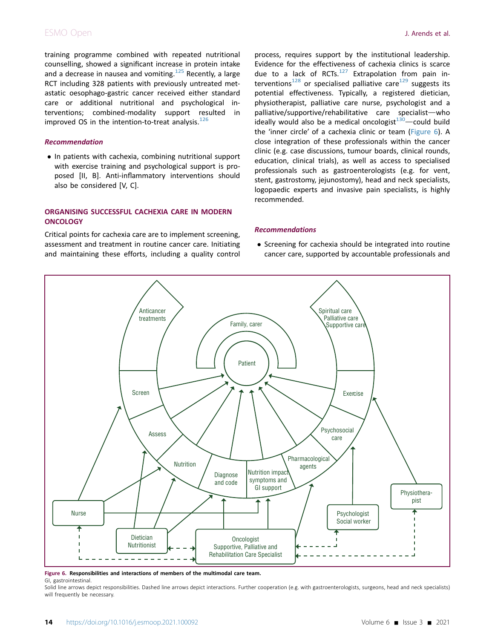# ESMO Open **J. Arends et al.**

training programme combined with repeated nutritional counselling, showed a significant increase in protein intake and a decrease in nausea and vomiting.<sup>[125](#page-17-24)</sup> Recently, a large RCT including 328 patients with previously untreated metastatic oesophago-gastric cancer received either standard care or additional nutritional and psychological interventions; combined-modality support resulted in improved OS in the intention-to-treat analysis. $126$ 

### Recommendation

• In patients with cachexia, combining nutritional support with exercise training and psychological support is proposed [II, B]. Anti-inflammatory interventions should also be considered [V, C].

### ORGANISING SUCCESSFUL CACHEXIA CARE IN MODERN **ONCOLOGY**

Critical points for cachexia care are to implement screening, assessment and treatment in routine cancer care. Initiating and maintaining these efforts, including a quality control

process, requires support by the institutional leadership. Evidence for the effectiveness of cachexia clinics is scarce due to a lack of RCTs. $127$  Extrapolation from pain in-terventions<sup>[128](#page-17-27)</sup> or specialised palliative care<sup>129</sup> suggests its potential effectiveness. Typically, a registered dietician, physiotherapist, palliative care nurse, psychologist and a palliative/supportive/rehabilitative care specialist-who ideally would also be a medical oncologist $130$ —could build the 'inner circle' of a cachexia clinic or team [\(Figure 6](#page-13-0)). A close integration of these professionals within the cancer clinic (e.g. case discussions, tumour boards, clinical rounds, education, clinical trials), as well as access to specialised professionals such as gastroenterologists (e.g. for vent, stent, gastrostomy, jejunostomy), head and neck specialists, logopaedic experts and invasive pain specialists, is highly recommended.

### Recommendations

• Screening for cachexia should be integrated into routine cancer care, supported by accountable professionals and

<span id="page-13-0"></span>

#### Figure 6. Responsibilities and interactions of members of the multimodal care team.

GI, gastrointestinal.

Solid line arrows depict responsibilities. Dashed line arrows depict interactions. Further cooperation (e.g. with gastroenterologists, surgeons, head and neck specialists) will frequently be necessary.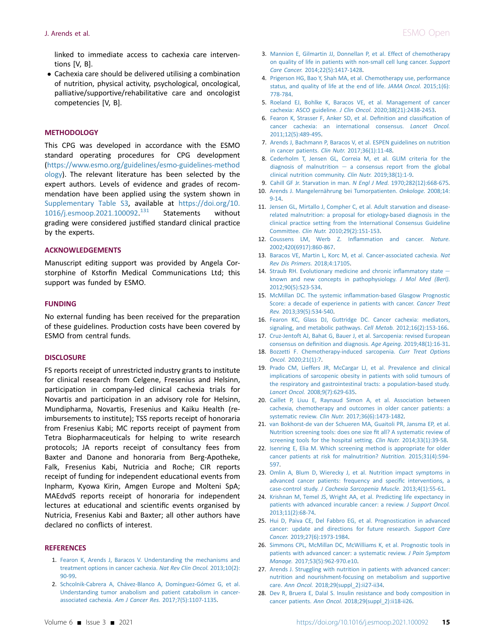linked to immediate access to cachexia care interventions [V, B].

 Cachexia care should be delivered utilising a combination of nutrition, physical activity, psychological, oncological, palliative/supportive/rehabilitative care and oncologist competencies [V, B].

### **METHODOLOGY**

This CPG was developed in accordance with the ESMO standard operating procedures for CPG development [\(https://www.esmo.org/guidelines/esmo-guidelines-method](https://www.esmo.org/guidelines/esmo-guidelines-methodology) [ology\)](https://www.esmo.org/guidelines/esmo-guidelines-methodology). The relevant literature has been selected by the expert authors. Levels of evidence and grades of recommendation have been applied using the system shown in Supplementary Table S3, available at [https://doi.org/10.](https://doi.org/10.1016/j.esmoop.2021.100092) [1016/j.esmoop.2021.100092.](https://doi.org/10.1016/j.esmoop.2021.100092) Statements without grading were considered justified standard clinical practice by the experts.

### ACKNOWLEDGEMENTS

Manuscript editing support was provided by Angela Corstorphine of Kstorfin Medical Communications Ltd; this support was funded by ESMO.

### FUNDING

No external funding has been received for the preparation of these guidelines. Production costs have been covered by ESMO from central funds.

### **DISCLOSURE**

FS reports receipt of unrestricted industry grants to institute for clinical research from Celgene, Fresenius and Helsinn, participation in company-led clinical cachexia trials for Novartis and participation in an advisory role for Helsinn, Mundipharma, Novartis, Fresenius and Kaiku Health (reimbursements to institute); TSS reports receipt of honoraria from Fresenius Kabi; MC reports receipt of payment from Tetra Biopharmaceuticals for helping to write research protocols; JA reports receipt of consultancy fees from Baxter and Danone and honoraria from Berg-Apotheke, Falk, Fresenius Kabi, Nutricia and Roche; CIR reports receipt of funding for independent educational events from Inpharm, Kyowa Kirin, Amgen Europe and Molteni SpA; MAEdvdS reports receipt of honoraria for independent lectures at educational and scientific events organised by Nutricia, Fresenius Kabi and Baxter; all other authors have declared no conflicts of interest.

### <span id="page-14-0"></span>**REFERENCES**

- <span id="page-14-1"></span>1. [Fearon K, Arends J, Baracos V. Understanding the mechanisms and](http://refhub.elsevier.com/S2059-7029(21)00049-1/sref1) [treatment options in cancer cachexia.](http://refhub.elsevier.com/S2059-7029(21)00049-1/sref1) Nat Rev Clin Oncol. 2013;10(2): [90-99.](http://refhub.elsevier.com/S2059-7029(21)00049-1/sref1)
- 2. [Schcolnik-Cabrera A, Chávez-Blanco A, Domínguez-Gómez G, et al.](http://refhub.elsevier.com/S2059-7029(21)00049-1/sref2) [Understanding tumor anabolism and patient catabolism in cancer](http://refhub.elsevier.com/S2059-7029(21)00049-1/sref2)associated cachexia. Am J Cancer Res. [2017;7\(5\):1107-1135.](http://refhub.elsevier.com/S2059-7029(21)00049-1/sref2)
- <span id="page-14-2"></span>3. [Mannion E, Gilmartin JJ, Donnellan P, et al. Effect of chemotherapy](http://refhub.elsevier.com/S2059-7029(21)00049-1/sref3) [on quality of life in patients with non-small cell lung cancer.](http://refhub.elsevier.com/S2059-7029(21)00049-1/sref3) Support Care Cancer. [2014;22\(5\):1417-1428](http://refhub.elsevier.com/S2059-7029(21)00049-1/sref3).
- <span id="page-14-3"></span>4. [Prigerson HG, Bao Y, Shah MA, et al. Chemotherapy use, performance](http://refhub.elsevier.com/S2059-7029(21)00049-1/sref4) [status, and quality of life at the end of life.](http://refhub.elsevier.com/S2059-7029(21)00049-1/sref4) JAMA Oncol. 2015;1(6): [778-784.](http://refhub.elsevier.com/S2059-7029(21)00049-1/sref4)
- <span id="page-14-4"></span>5. [Roeland EJ, Bohlke K, Baracos VE, et al. Management of cancer](http://refhub.elsevier.com/S2059-7029(21)00049-1/sref5) [cachexia: ASCO guideline.](http://refhub.elsevier.com/S2059-7029(21)00049-1/sref5) J Clin Oncol. 2020;38(21):2438-2453.
- <span id="page-14-5"></span>6. [Fearon K, Strasser F, Anker SD, et al. De](http://refhub.elsevier.com/S2059-7029(21)00049-1/sref6)finition and classification of [cancer cachexia: an international consensus.](http://refhub.elsevier.com/S2059-7029(21)00049-1/sref6) Lancet Oncol. [2011;12\(5\):489-495](http://refhub.elsevier.com/S2059-7029(21)00049-1/sref6).
- <span id="page-14-6"></span>7. [Arends J, Bachmann P, Baracos V, et al. ESPEN guidelines on nutrition](http://refhub.elsevier.com/S2059-7029(21)00049-1/sref7) [in cancer patients.](http://refhub.elsevier.com/S2059-7029(21)00049-1/sref7) Clin Nutr. 2017;36(1):11-48.
- <span id="page-14-7"></span>8. [Cederholm T, Jensen GL, Correia M, et al. GLIM criteria for the](http://refhub.elsevier.com/S2059-7029(21)00049-1/sref8) [diagnosis of malnutrition](http://refhub.elsevier.com/S2059-7029(21)00049-1/sref8)  $-$  [a consensus report from the global](http://refhub.elsevier.com/S2059-7029(21)00049-1/sref8) [clinical nutrition community.](http://refhub.elsevier.com/S2059-7029(21)00049-1/sref8) Clin Nutr. 2019;38(1):1-9.
- <span id="page-14-8"></span>9. [Cahill GF Jr. Starvation in man.](http://refhub.elsevier.com/S2059-7029(21)00049-1/sref9) N Engl J Med. 1970;282(12):668-675.
- <span id="page-14-9"></span>10. [Arends J. Mangelernährung bei Tumorpatienten.](http://refhub.elsevier.com/S2059-7029(21)00049-1/sref10) Onkologe. 2008;14: [9-14](http://refhub.elsevier.com/S2059-7029(21)00049-1/sref10).
- <span id="page-14-10"></span>11. [Jensen GL, Mirtallo J, Compher C, et al. Adult starvation and disease](http://refhub.elsevier.com/S2059-7029(21)00049-1/sref11)[related malnutrition: a proposal for etiology-based diagnosis in the](http://refhub.elsevier.com/S2059-7029(21)00049-1/sref11) [clinical practice setting from the International Consensus Guideline](http://refhub.elsevier.com/S2059-7029(21)00049-1/sref11) Committee. Clin Nutr. [2010;29\(2\):151-153](http://refhub.elsevier.com/S2059-7029(21)00049-1/sref11).
- <span id="page-14-11"></span>12. [Coussens LM, Werb Z. In](http://refhub.elsevier.com/S2059-7029(21)00049-1/sref12)flammation and cancer. Nature. [2002;420\(6917\):860-867.](http://refhub.elsevier.com/S2059-7029(21)00049-1/sref12)
- <span id="page-14-12"></span>13. [Baracos VE, Martin L, Korc M, et al. Cancer-associated cachexia.](http://refhub.elsevier.com/S2059-7029(21)00049-1/sref13) Nat [Rev Dis Primers.](http://refhub.elsevier.com/S2059-7029(21)00049-1/sref13) 2018;4:17105.
- <span id="page-14-13"></span>14. [Straub RH. Evolutionary medicine and chronic in](http://refhub.elsevier.com/S2059-7029(21)00049-1/sref14)flammatory state  $$ [known and new concepts in pathophysiology.](http://refhub.elsevier.com/S2059-7029(21)00049-1/sref14) J Mol Med (Berl). [2012;90\(5\):523-534.](http://refhub.elsevier.com/S2059-7029(21)00049-1/sref14)
- <span id="page-14-14"></span>15. McMillan DC. The systemic infl[ammation-based Glasgow Prognostic](http://refhub.elsevier.com/S2059-7029(21)00049-1/sref15) [Score: a decade of experience in patients with cancer.](http://refhub.elsevier.com/S2059-7029(21)00049-1/sref15) Cancer Treat Rev. [2013;39\(5\):534-540](http://refhub.elsevier.com/S2059-7029(21)00049-1/sref15).
- <span id="page-14-15"></span>16. [Fearon KC, Glass DJ, Guttridge DC. Cancer cachexia: mediators,](http://refhub.elsevier.com/S2059-7029(21)00049-1/sref16) [signaling, and metabolic pathways.](http://refhub.elsevier.com/S2059-7029(21)00049-1/sref16) Cell Metab. 2012;16(2):153-166.
- <span id="page-14-16"></span>17. [Cruz-Jentoft AJ, Bahat G, Bauer J, et al. Sarcopenia: revised European](http://refhub.elsevier.com/S2059-7029(21)00049-1/sref17) consensus on defi[nition and diagnosis.](http://refhub.elsevier.com/S2059-7029(21)00049-1/sref17) Age Ageing. 2019;48(1):16-31.
- <span id="page-14-17"></span>18. [Bozzetti F. Chemotherapy-induced sarcopenia.](http://refhub.elsevier.com/S2059-7029(21)00049-1/sref18) Curr Treat Options Oncol. [2020;21\(1\):7](http://refhub.elsevier.com/S2059-7029(21)00049-1/sref18).
- <span id="page-14-18"></span>19. [Prado CM, Lieffers JR, McCargar LJ, et al. Prevalence and clinical](http://refhub.elsevier.com/S2059-7029(21)00049-1/sref19) [implications of sarcopenic obesity in patients with solid tumours of](http://refhub.elsevier.com/S2059-7029(21)00049-1/sref19) [the respiratory and gastrointestinal tracts: a population-based study.](http://refhub.elsevier.com/S2059-7029(21)00049-1/sref19) Lancet Oncol. [2008;9\(7\):629-635](http://refhub.elsevier.com/S2059-7029(21)00049-1/sref19).
- <span id="page-14-19"></span>20. [Caillet P, Liuu E, Raynaud Simon A, et al. Association between](http://refhub.elsevier.com/S2059-7029(21)00049-1/sref20) [cachexia, chemotherapy and outcomes in older cancer patients: a](http://refhub.elsevier.com/S2059-7029(21)00049-1/sref20) systematic review. Clin Nutr. [2017;36\(6\):1473-1482.](http://refhub.elsevier.com/S2059-7029(21)00049-1/sref20)
- <span id="page-14-20"></span>21. [van Bokhorst-de van der Schueren MA, Guaitoli PR, Jansma EP, et al.](http://refhub.elsevier.com/S2059-7029(21)00049-1/sref21) [Nutrition screening tools: does one size](http://refhub.elsevier.com/S2059-7029(21)00049-1/sref21) fit all? A systematic review of [screening tools for the hospital setting.](http://refhub.elsevier.com/S2059-7029(21)00049-1/sref21) Clin Nutr. 2014;33(1):39-58.
- <span id="page-14-21"></span>22. [Isenring E, Elia M. Which screening method is appropriate for older](http://refhub.elsevier.com/S2059-7029(21)00049-1/sref22) [cancer patients at risk for malnutrition?](http://refhub.elsevier.com/S2059-7029(21)00049-1/sref22) Nutrition. 2015;31(4):594- [597.](http://refhub.elsevier.com/S2059-7029(21)00049-1/sref22)
- <span id="page-14-22"></span>23. [Omlin A, Blum D, Wierecky J, et al. Nutrition impact symptoms in](http://refhub.elsevier.com/S2059-7029(21)00049-1/sref23) [advanced cancer patients: frequency and speci](http://refhub.elsevier.com/S2059-7029(21)00049-1/sref23)fic interventions, a case-control study. [J Cachexia Sarcopenia Muscle.](http://refhub.elsevier.com/S2059-7029(21)00049-1/sref23) 2013;4(1):55-61.
- <span id="page-14-23"></span>24. [Krishnan M, Temel JS, Wright AA, et al. Predicting life expectancy in](http://refhub.elsevier.com/S2059-7029(21)00049-1/sref24) [patients with advanced incurable cancer: a review.](http://refhub.elsevier.com/S2059-7029(21)00049-1/sref24) J Support Oncol. [2013;11\(2\):68-74.](http://refhub.elsevier.com/S2059-7029(21)00049-1/sref24)
- <span id="page-14-24"></span>25. [Hui D, Paiva CE, Del Fabbro EG, et al. Prognostication in advanced](http://refhub.elsevier.com/S2059-7029(21)00049-1/sref25) [cancer: update and directions for future research.](http://refhub.elsevier.com/S2059-7029(21)00049-1/sref25) Support Care Cancer. [2019;27\(6\):1973-1984.](http://refhub.elsevier.com/S2059-7029(21)00049-1/sref25)
- <span id="page-14-25"></span>26. [Simmons CPL, McMillan DC, McWilliams K, et al. Prognostic tools in](http://refhub.elsevier.com/S2059-7029(21)00049-1/sref26) [patients with advanced cancer: a systematic review.](http://refhub.elsevier.com/S2059-7029(21)00049-1/sref26) J Pain Symptom Manage. [2017;53\(5\):962-970.e10.](http://refhub.elsevier.com/S2059-7029(21)00049-1/sref26)
- <span id="page-14-26"></span>27. [Arends J. Struggling with nutrition in patients with advanced cancer:](http://refhub.elsevier.com/S2059-7029(21)00049-1/sref27) [nutrition and nourishment-focusing on metabolism and supportive](http://refhub.elsevier.com/S2059-7029(21)00049-1/sref27) care. Ann Oncol. [2018;29\(suppl\\_2\):ii27-ii34.](http://refhub.elsevier.com/S2059-7029(21)00049-1/sref27)
- <span id="page-14-27"></span>28. [Dev R, Bruera E, Dalal S. Insulin resistance and body composition in](http://refhub.elsevier.com/S2059-7029(21)00049-1/sref28) cancer patients. Ann Oncol. [2018;29\(suppl\\_2\):ii18-ii26](http://refhub.elsevier.com/S2059-7029(21)00049-1/sref28).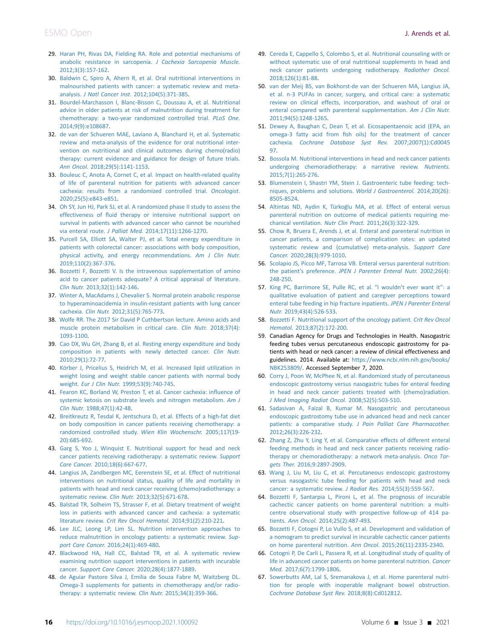- <span id="page-15-0"></span>29. [Haran PH, Rivas DA, Fielding RA. Role and potential mechanisms of](http://refhub.elsevier.com/S2059-7029(21)00049-1/sref29) [anabolic resistance in sarcopenia.](http://refhub.elsevier.com/S2059-7029(21)00049-1/sref29) J Cachexia Sarcopenia Muscle. [2012;3\(3\):157-162](http://refhub.elsevier.com/S2059-7029(21)00049-1/sref29).
- <span id="page-15-1"></span>30. [Baldwin C, Spiro A, Ahern R, et al. Oral nutritional interventions in](http://refhub.elsevier.com/S2059-7029(21)00049-1/sref30) [malnourished patients with cancer: a systematic review and meta](http://refhub.elsevier.com/S2059-7029(21)00049-1/sref30)analysis. J Natl Cancer Inst. [2012;104\(5\):371-385.](http://refhub.elsevier.com/S2059-7029(21)00049-1/sref30)
- 31. [Bourdel-Marchasson I, Blanc-Bisson C, Doussau A, et al. Nutritional](http://refhub.elsevier.com/S2059-7029(21)00049-1/sref31) [advice in older patients at risk of malnutrition during treatment for](http://refhub.elsevier.com/S2059-7029(21)00049-1/sref31) [chemotherapy: a two-year randomized controlled trial.](http://refhub.elsevier.com/S2059-7029(21)00049-1/sref31) PLoS One. [2014;9\(9\):e108687](http://refhub.elsevier.com/S2059-7029(21)00049-1/sref31).
- <span id="page-15-12"></span>32. [de van der Schueren MAE, Laviano A, Blanchard H, et al. Systematic](http://refhub.elsevier.com/S2059-7029(21)00049-1/sref32) [review and meta-analysis of the evidence for oral nutritional inter](http://refhub.elsevier.com/S2059-7029(21)00049-1/sref32)[vention on nutritional and clinical outcomes during chemo\(radio\)](http://refhub.elsevier.com/S2059-7029(21)00049-1/sref32) [therapy: current evidence and guidance for design of future trials.](http://refhub.elsevier.com/S2059-7029(21)00049-1/sref32) Ann Oncol. [2018;29\(5\):1141-1153](http://refhub.elsevier.com/S2059-7029(21)00049-1/sref32).
- <span id="page-15-2"></span>33. [Bouleuc C, Anota A, Cornet C, et al. Impact on health-related quality](http://refhub.elsevier.com/S2059-7029(21)00049-1/sref33) [of life of parenteral nutrition for patients with advanced cancer](http://refhub.elsevier.com/S2059-7029(21)00049-1/sref33) [cachexia: results from a randomized controlled trial.](http://refhub.elsevier.com/S2059-7029(21)00049-1/sref33) Oncologist. [2020;25\(5\):e843-e851.](http://refhub.elsevier.com/S2059-7029(21)00049-1/sref33)
- <span id="page-15-3"></span>34. [Oh SY, Jun HJ, Park SJ, et al. A randomized phase II study to assess the](http://refhub.elsevier.com/S2059-7029(21)00049-1/sref34) effectiveness of fl[uid therapy or intensive nutritional support on](http://refhub.elsevier.com/S2059-7029(21)00049-1/sref34) [survival in patients with advanced cancer who cannot be nourished](http://refhub.elsevier.com/S2059-7029(21)00049-1/sref34) via enteral route. J Palliat Med. [2014;17\(11\):1266-1270](http://refhub.elsevier.com/S2059-7029(21)00049-1/sref34).
- <span id="page-15-4"></span>35. [Purcell SA, Elliott SA, Walter PJ, et al. Total energy expenditure in](http://refhub.elsevier.com/S2059-7029(21)00049-1/sref35) [patients with colorectal cancer: associations with body composition,](http://refhub.elsevier.com/S2059-7029(21)00049-1/sref35) [physical activity, and energy recommendations.](http://refhub.elsevier.com/S2059-7029(21)00049-1/sref35) Am J Clin Nutr. [2019;110\(2\):367-376.](http://refhub.elsevier.com/S2059-7029(21)00049-1/sref35)
- <span id="page-15-5"></span>36. [Bozzetti F, Bozzetti V. Is the intravenous supplementation of amino](http://refhub.elsevier.com/S2059-7029(21)00049-1/sref36) [acid to cancer patients adequate? A critical appraisal of literature.](http://refhub.elsevier.com/S2059-7029(21)00049-1/sref36) Clin Nutr. [2013;32\(1\):142-146.](http://refhub.elsevier.com/S2059-7029(21)00049-1/sref36)
- 37. [Winter A, MacAdams J, Chevalier S. Normal protein anabolic response](http://refhub.elsevier.com/S2059-7029(21)00049-1/sref37) [to hyperaminoacidemia in insulin-resistant patients with lung cancer](http://refhub.elsevier.com/S2059-7029(21)00049-1/sref37) cachexia. Clin Nutr. [2012;31\(5\):765-773.](http://refhub.elsevier.com/S2059-7029(21)00049-1/sref37)
- 38. [Wolfe RR. The 2017 Sir David P Cuthbertson lecture. Amino acids and](http://refhub.elsevier.com/S2059-7029(21)00049-1/sref38) [muscle protein metabolism in critical care.](http://refhub.elsevier.com/S2059-7029(21)00049-1/sref38) Clin Nutr. 2018;37(4): [1093-1100](http://refhub.elsevier.com/S2059-7029(21)00049-1/sref38).
- <span id="page-15-6"></span>39. [Cao DX, Wu GH, Zhang B, et al. Resting energy expenditure and body](http://refhub.elsevier.com/S2059-7029(21)00049-1/sref39) [composition in patients with newly detected cancer.](http://refhub.elsevier.com/S2059-7029(21)00049-1/sref39) Clin Nutr. [2010;29\(1\):72-77](http://refhub.elsevier.com/S2059-7029(21)00049-1/sref39).
- <span id="page-15-7"></span>40. [Körber J, Pricelius S, Heidrich M, et al. Increased lipid utilization in](http://refhub.elsevier.com/S2059-7029(21)00049-1/sref40) [weight losing and weight stable cancer patients with normal body](http://refhub.elsevier.com/S2059-7029(21)00049-1/sref40) weight. Eur J Clin Nutr. [1999;53\(9\):740-745.](http://refhub.elsevier.com/S2059-7029(21)00049-1/sref40)
- <span id="page-15-8"></span>41. [Fearon KC, Borland W, Preston T, et al. Cancer cachexia: in](http://refhub.elsevier.com/S2059-7029(21)00049-1/sref41)fluence of [systemic ketosis on substrate levels and nitrogen metabolism.](http://refhub.elsevier.com/S2059-7029(21)00049-1/sref41) Am J Clin Nutr. [1988;47\(1\):42-48.](http://refhub.elsevier.com/S2059-7029(21)00049-1/sref41)
- <span id="page-15-9"></span>42. [Breitkreutz R, Tesdal K, Jentschura D, et al. Effects of a high-fat diet](http://refhub.elsevier.com/S2059-7029(21)00049-1/sref42) [on body composition in cancer patients receiving chemotherapy: a](http://refhub.elsevier.com/S2059-7029(21)00049-1/sref42) [randomized controlled study.](http://refhub.elsevier.com/S2059-7029(21)00049-1/sref42) Wien Klin Wochenschr. 2005;117(19- [20\):685-692.](http://refhub.elsevier.com/S2059-7029(21)00049-1/sref42)
- <span id="page-15-10"></span>43. [Garg S, Yoo J, Winquist E. Nutritional support for head and neck](http://refhub.elsevier.com/S2059-7029(21)00049-1/sref43) [cancer patients receiving radiotherapy: a systematic review.](http://refhub.elsevier.com/S2059-7029(21)00049-1/sref43) Support Care Cancer. [2010;18\(6\):667-677](http://refhub.elsevier.com/S2059-7029(21)00049-1/sref43).
- <span id="page-15-11"></span>44. [Langius JA, Zandbergen MC, Eerenstein SE, et al. Effect of nutritional](http://refhub.elsevier.com/S2059-7029(21)00049-1/sref44) [interventions on nutritional status, quality of life and mortality in](http://refhub.elsevier.com/S2059-7029(21)00049-1/sref44) [patients with head and neck cancer receiving \(chemo\)radiotherapy: a](http://refhub.elsevier.com/S2059-7029(21)00049-1/sref44) systematic review. Clin Nutr. [2013;32\(5\):671-678.](http://refhub.elsevier.com/S2059-7029(21)00049-1/sref44)
- <span id="page-15-13"></span>45. [Balstad TR, Solheim TS, Strasser F, et al. Dietary treatment of weight](http://refhub.elsevier.com/S2059-7029(21)00049-1/sref45) [loss in patients with advanced cancer and cachexia: a systematic](http://refhub.elsevier.com/S2059-7029(21)00049-1/sref45) literature review. [Crit Rev Oncol Hematol.](http://refhub.elsevier.com/S2059-7029(21)00049-1/sref45) 2014;91(2):210-221.
- <span id="page-15-14"></span>46. [Lee JLC, Leong LP, Lim SL. Nutrition intervention approaches to](http://refhub.elsevier.com/S2059-7029(21)00049-1/sref46) [reduce malnutrition in oncology patients: a systematic review.](http://refhub.elsevier.com/S2059-7029(21)00049-1/sref46) Support Care Cancer. [2016;24\(1\):469-480](http://refhub.elsevier.com/S2059-7029(21)00049-1/sref46).
- <span id="page-15-15"></span>47. [Blackwood HA, Hall CC, Balstad TR, et al. A systematic review](http://refhub.elsevier.com/S2059-7029(21)00049-1/sref47) [examining nutrition support interventions in patients with incurable](http://refhub.elsevier.com/S2059-7029(21)00049-1/sref47) cancer. Support Care Cancer. [2020;28\(4\):1877-1889.](http://refhub.elsevier.com/S2059-7029(21)00049-1/sref47)
- 48. [de Aguiar Pastore Silva J, Emilia de Souza Fabre M, Waitzberg DL.](http://refhub.elsevier.com/S2059-7029(21)00049-1/sref48) [Omega-3 supplements for patients in chemotherapy and/or radio](http://refhub.elsevier.com/S2059-7029(21)00049-1/sref48)[therapy: a systematic review.](http://refhub.elsevier.com/S2059-7029(21)00049-1/sref48) Clin Nutr. 2015;34(3):359-366.
- 49. [Cereda E, Cappello S, Colombo S, et al. Nutritional counseling with or](http://refhub.elsevier.com/S2059-7029(21)00049-1/sref49) [without systematic use of oral nutritional supplements in head and](http://refhub.elsevier.com/S2059-7029(21)00049-1/sref49) [neck cancer patients undergoing radiotherapy.](http://refhub.elsevier.com/S2059-7029(21)00049-1/sref49) Radiother Oncol. [2018;126\(1\):81-88.](http://refhub.elsevier.com/S2059-7029(21)00049-1/sref49)
- 50. [van der Meij BS, van Bokhorst-de van der Schueren MA, Langius JA,](http://refhub.elsevier.com/S2059-7029(21)00049-1/sref50) [et al. n-3 PUFAs in cancer, surgery, and critical care: a systematic](http://refhub.elsevier.com/S2059-7029(21)00049-1/sref50) [review on clinical effects, incorporation, and washout of oral or](http://refhub.elsevier.com/S2059-7029(21)00049-1/sref50) [enteral compared with parenteral supplementation.](http://refhub.elsevier.com/S2059-7029(21)00049-1/sref50) Am J Clin Nutr. [2011;94\(5\):1248-1265.](http://refhub.elsevier.com/S2059-7029(21)00049-1/sref50)
- <span id="page-15-16"></span>51. [Dewey A, Baughan C, Dean T, et al. Eicosapentaenoic acid \(EPA, an](http://refhub.elsevier.com/S2059-7029(21)00049-1/sref51) omega-3 fatty acid from fi[sh oils\) for the treatment of cancer](http://refhub.elsevier.com/S2059-7029(21)00049-1/sref51) cachexia. [Cochrane Database Syst Rev.](http://refhub.elsevier.com/S2059-7029(21)00049-1/sref51) 2007;2007(1):Cd0045 [97.](http://refhub.elsevier.com/S2059-7029(21)00049-1/sref51)
- <span id="page-15-17"></span>52. [Bossola M. Nutritional interventions in head and neck cancer patients](http://refhub.elsevier.com/S2059-7029(21)00049-1/sref52) [undergoing chemoradiotherapy: a narrative review.](http://refhub.elsevier.com/S2059-7029(21)00049-1/sref52) Nutrients. [2015;7\(1\):265-276.](http://refhub.elsevier.com/S2059-7029(21)00049-1/sref52)
- <span id="page-15-18"></span>53. [Blumenstein I, Shastri YM, Stein J. Gastroenteric tube feeding: tech](http://refhub.elsevier.com/S2059-7029(21)00049-1/sref53)[niques, problems and solutions.](http://refhub.elsevier.com/S2059-7029(21)00049-1/sref53) World J Gastroenterol. 2014;20(26): [8505-8524.](http://refhub.elsevier.com/S2059-7029(21)00049-1/sref53)
- <span id="page-15-19"></span>54. [Altintas ND, Aydin K, Türko](http://refhub.elsevier.com/S2059-7029(21)00049-1/sref54)g[lu MA, et al. Effect of enteral versus](http://refhub.elsevier.com/S2059-7029(21)00049-1/sref54) [parenteral nutrition on outcome of medical patients requiring me](http://refhub.elsevier.com/S2059-7029(21)00049-1/sref54)[chanical ventilation.](http://refhub.elsevier.com/S2059-7029(21)00049-1/sref54) Nutr Clin Pract. 2011;26(3):322-329.
- <span id="page-15-20"></span>55. [Chow R, Bruera E, Arends J, et al. Enteral and parenteral nutrition in](http://refhub.elsevier.com/S2059-7029(21)00049-1/sref55) [cancer patients, a comparison of complication rates: an updated](http://refhub.elsevier.com/S2059-7029(21)00049-1/sref55) [systematic review and \(cumulative\) meta-analysis.](http://refhub.elsevier.com/S2059-7029(21)00049-1/sref55) Support Care Cancer. [2020;28\(3\):979-1010.](http://refhub.elsevier.com/S2059-7029(21)00049-1/sref55)
- <span id="page-15-21"></span>56. [Scolapio JS, Picco MF, Tarrosa VB. Enteral versus parenteral nutrition:](http://refhub.elsevier.com/S2059-7029(21)00049-1/sref56) the patient's preference. [JPEN J Parenter Enteral Nutr.](http://refhub.elsevier.com/S2059-7029(21)00049-1/sref56) 2002;26(4): [248-250](http://refhub.elsevier.com/S2059-7029(21)00049-1/sref56).
- <span id="page-15-22"></span>57. [King PC, Barrimore SE, Pulle RC, et al.](http://refhub.elsevier.com/S2059-7029(21)00049-1/sref57) "I wouldn't ever want it": a [qualitative evaluation of patient and caregiver perceptions toward](http://refhub.elsevier.com/S2059-7029(21)00049-1/sref57) [enteral tube feeding in hip fracture inpatients.](http://refhub.elsevier.com/S2059-7029(21)00049-1/sref57) JPEN J Parenter Enteral Nutr. [2019;43\(4\):526-533](http://refhub.elsevier.com/S2059-7029(21)00049-1/sref57).
- <span id="page-15-23"></span>58. [Bozzetti F. Nutritional support of the oncology patient.](http://refhub.elsevier.com/S2059-7029(21)00049-1/sref58) Crit Rev Oncol Hematol. [2013;87\(2\):172-200.](http://refhub.elsevier.com/S2059-7029(21)00049-1/sref58)
- <span id="page-15-24"></span>59. Canadian Agency for Drugs and Technologies in Health. Nasogastric feeding tubes versus percutaneous endoscopic gastrostomy for patients with head or neck cancer: a review of clinical effectiveness and guidelines. 2014. Available at: [https://www.ncbi.nlm.nih.gov/books/](https://www.ncbi.nlm.nih.gov/books/NBK253809/) [NBK253809/](https://www.ncbi.nlm.nih.gov/books/NBK253809/). Accessed September 7, 2020.
- <span id="page-15-25"></span>60. [Corry J, Poon W, McPhee N, et al. Randomized study of percutaneous](http://refhub.elsevier.com/S2059-7029(21)00049-1/sref60) [endoscopic gastrostomy versus nasogastric tubes for enteral feeding](http://refhub.elsevier.com/S2059-7029(21)00049-1/sref60) [in head and neck cancer patients treated with \(chemo\)radiation.](http://refhub.elsevier.com/S2059-7029(21)00049-1/sref60) [J Med Imaging Radiat Oncol.](http://refhub.elsevier.com/S2059-7029(21)00049-1/sref60) 2008;52(5):503-510.
- <span id="page-15-26"></span>61. [Sadasivan A, Faizal B, Kumar M. Nasogastric and percutaneous](http://refhub.elsevier.com/S2059-7029(21)00049-1/sref61) [endoscopic gastrostomy tube use in advanced head and neck cancer](http://refhub.elsevier.com/S2059-7029(21)00049-1/sref61) patients: a comparative study. [J Pain Palliat Care Pharmacother.](http://refhub.elsevier.com/S2059-7029(21)00049-1/sref61) [2012;26\(3\):226-232.](http://refhub.elsevier.com/S2059-7029(21)00049-1/sref61)
- <span id="page-15-27"></span>62. [Zhang Z, Zhu Y, Ling Y, et al. Comparative effects of different enteral](http://refhub.elsevier.com/S2059-7029(21)00049-1/sref62) [feeding methods in head and neck cancer patients receiving radio](http://refhub.elsevier.com/S2059-7029(21)00049-1/sref62)[therapy or chemoradiotherapy: a network meta-analysis.](http://refhub.elsevier.com/S2059-7029(21)00049-1/sref62) Onco Targets Ther. [2016;9:2897-2909](http://refhub.elsevier.com/S2059-7029(21)00049-1/sref62).
- <span id="page-15-28"></span>63. [Wang J, Liu M, Liu C, et al. Percutaneous endoscopic gastrostomy](http://refhub.elsevier.com/S2059-7029(21)00049-1/sref63) [versus nasogastric tube feeding for patients with head and neck](http://refhub.elsevier.com/S2059-7029(21)00049-1/sref63) [cancer: a systematic review.](http://refhub.elsevier.com/S2059-7029(21)00049-1/sref63) J Radiat Res. 2014;55(3):559-567.
- <span id="page-15-29"></span>64. [Bozzetti F, Santarpia L, Pironi L, et al. The prognosis of incurable](http://refhub.elsevier.com/S2059-7029(21)00049-1/sref64) [cachectic cancer patients on home parenteral nutrition: a multi](http://refhub.elsevier.com/S2059-7029(21)00049-1/sref64)[centre observational study with prospective follow-up of 414 pa](http://refhub.elsevier.com/S2059-7029(21)00049-1/sref64)tients. Ann Oncol. [2014;25\(2\):487-493.](http://refhub.elsevier.com/S2059-7029(21)00049-1/sref64)
- <span id="page-15-31"></span>65. [Bozzetti F, Cotogni P, Lo Vullo S, et al. Development and validation of](http://refhub.elsevier.com/S2059-7029(21)00049-1/sref65) [a nomogram to predict survival in incurable cachectic cancer patients](http://refhub.elsevier.com/S2059-7029(21)00049-1/sref65) [on home parenteral nutrition.](http://refhub.elsevier.com/S2059-7029(21)00049-1/sref65) Ann Oncol. 2015;26(11):2335-2340.
- <span id="page-15-32"></span>66. [Cotogni P, De Carli L, Passera R, et al. Longitudinal study of quality of](http://refhub.elsevier.com/S2059-7029(21)00049-1/sref66) [life in advanced cancer patients on home parenteral nutrition.](http://refhub.elsevier.com/S2059-7029(21)00049-1/sref66) Cancer Med. [2017;6\(7\):1799-1806.](http://refhub.elsevier.com/S2059-7029(21)00049-1/sref66)
- <span id="page-15-30"></span>67. [Sowerbutts AM, Lal S, Sremanakova J, et al. Home parenteral nutri](http://refhub.elsevier.com/S2059-7029(21)00049-1/sref67)[tion for people with inoperable malignant bowel obstruction.](http://refhub.elsevier.com/S2059-7029(21)00049-1/sref67) [Cochrane Database Syst Rev.](http://refhub.elsevier.com/S2059-7029(21)00049-1/sref67) 2018;8(8):Cd012812.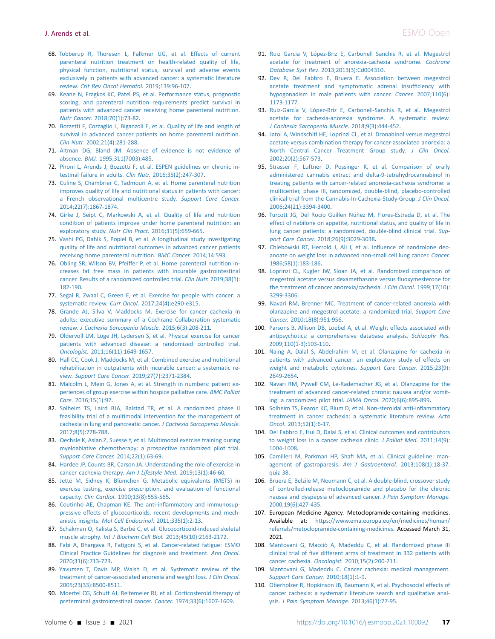- <span id="page-16-0"></span>68. [Tobberup R, Thoresen L, Falkmer UG, et al. Effects of current](http://refhub.elsevier.com/S2059-7029(21)00049-1/sref68) [parenteral nutrition treatment on health-related quality of life,](http://refhub.elsevier.com/S2059-7029(21)00049-1/sref68) [physical function, nutritional status, survival and adverse events](http://refhub.elsevier.com/S2059-7029(21)00049-1/sref68) [exclusively in patients with advanced cancer: a systematic literature](http://refhub.elsevier.com/S2059-7029(21)00049-1/sref68) review. [Crit Rev Oncol Hematol.](http://refhub.elsevier.com/S2059-7029(21)00049-1/sref68) 2019;139:96-107.
- <span id="page-16-1"></span>69. [Keane N, Fragkos KC, Patel PS, et al. Performance status, prognostic](http://refhub.elsevier.com/S2059-7029(21)00049-1/sref69) [scoring, and parenteral nutrition requirements predict survival in](http://refhub.elsevier.com/S2059-7029(21)00049-1/sref69) [patients with advanced cancer receiving home parenteral nutrition.](http://refhub.elsevier.com/S2059-7029(21)00049-1/sref69) Nutr Cancer. [2018;70\(1\):73-82.](http://refhub.elsevier.com/S2059-7029(21)00049-1/sref69)
- <span id="page-16-2"></span>70. [Bozzetti F, Cozzaglio L, Biganzoli E, et al. Quality of life and length of](http://refhub.elsevier.com/S2059-7029(21)00049-1/sref70) [survival in advanced cancer patients on home parenteral nutrition.](http://refhub.elsevier.com/S2059-7029(21)00049-1/sref70) Clin Nutr. [2002;21\(4\):281-288.](http://refhub.elsevier.com/S2059-7029(21)00049-1/sref70)
- <span id="page-16-3"></span>71. [Altman DG, Bland JM. Absence of evidence is not evidence of](http://refhub.elsevier.com/S2059-7029(21)00049-1/sref71) absence. BMJ. [1995;311\(7003\):485.](http://refhub.elsevier.com/S2059-7029(21)00049-1/sref71)
- <span id="page-16-4"></span>72. [Pironi L, Arends J, Bozzetti F, et al. ESPEN guidelines on chronic in](http://refhub.elsevier.com/S2059-7029(21)00049-1/sref72)[testinal failure in adults.](http://refhub.elsevier.com/S2059-7029(21)00049-1/sref72) Clin Nutr. 2016;35(2):247-307.
- <span id="page-16-5"></span>73. [Culine S, Chambrier C, Tadmouri A, et al. Home parenteral nutrition](http://refhub.elsevier.com/S2059-7029(21)00049-1/sref73) [improves quality of life and nutritional status in patients with cancer:](http://refhub.elsevier.com/S2059-7029(21)00049-1/sref73) [a French observational multicentre study.](http://refhub.elsevier.com/S2059-7029(21)00049-1/sref73) Support Care Cancer. [2014;22\(7\):1867-1874.](http://refhub.elsevier.com/S2059-7029(21)00049-1/sref73)
- 74. [Girke J, Seipt C, Markowski A, et al. Quality of life and nutrition](http://refhub.elsevier.com/S2059-7029(21)00049-1/sref74) [condition of patients improve under home parenteral nutrition: an](http://refhub.elsevier.com/S2059-7029(21)00049-1/sref74) exploratory study. Nutr Clin Pract. [2016;31\(5\):659-665.](http://refhub.elsevier.com/S2059-7029(21)00049-1/sref74)
- <span id="page-16-6"></span>75. [Vashi PG, Dahlk S, Popiel B, et al. A longitudinal study investigating](http://refhub.elsevier.com/S2059-7029(21)00049-1/sref75) [quality of life and nutritional outcomes in advanced cancer patients](http://refhub.elsevier.com/S2059-7029(21)00049-1/sref75) [receiving home parenteral nutrition.](http://refhub.elsevier.com/S2059-7029(21)00049-1/sref75) BMC Cancer. 2014;14:593.
- <span id="page-16-7"></span>76. [Obling SR, Wilson BV, Pfeiffer P, et al. Home parenteral nutrition in](http://refhub.elsevier.com/S2059-7029(21)00049-1/sref76)[creases fat free mass in patients with incurable gastrointestinal](http://refhub.elsevier.com/S2059-7029(21)00049-1/sref76) [cancer. Results of a randomized controlled trial.](http://refhub.elsevier.com/S2059-7029(21)00049-1/sref76) Clin Nutr. 2019;38(1): [182-190](http://refhub.elsevier.com/S2059-7029(21)00049-1/sref76).
- <span id="page-16-8"></span>77. [Segal R, Zwaal C, Green E, et al. Exercise for people with cancer: a](http://refhub.elsevier.com/S2059-7029(21)00049-1/sref77) systematic review. Curr Oncol. [2017;24\(4\):e290-e315.](http://refhub.elsevier.com/S2059-7029(21)00049-1/sref77)
- <span id="page-16-9"></span>78. [Grande AJ, Silva V, Maddocks M. Exercise for cancer cachexia in](http://refhub.elsevier.com/S2059-7029(21)00049-1/sref78) [adults: executive summary of a Cochrane Collaboration systematic](http://refhub.elsevier.com/S2059-7029(21)00049-1/sref78) review. [J Cachexia Sarcopenia Muscle.](http://refhub.elsevier.com/S2059-7029(21)00049-1/sref78) 2015;6(3):208-211.
- <span id="page-16-10"></span>79. [Oldervoll LM, Loge JH, Lydersen S, et al. Physical exercise for cancer](http://refhub.elsevier.com/S2059-7029(21)00049-1/sref79) [patients with advanced disease: a randomized controlled trial.](http://refhub.elsevier.com/S2059-7029(21)00049-1/sref79) Oncologist. [2011;16\(11\):1649-1657](http://refhub.elsevier.com/S2059-7029(21)00049-1/sref79).
- <span id="page-16-11"></span>80. [Hall CC, Cook J, Maddocks M, et al. Combined exercise and nutritional](http://refhub.elsevier.com/S2059-7029(21)00049-1/sref80) [rehabilitation in outpatients with incurable cancer: a systematic re](http://refhub.elsevier.com/S2059-7029(21)00049-1/sref80)view. Support Care Cancer. [2019;27\(7\):2371-2384.](http://refhub.elsevier.com/S2059-7029(21)00049-1/sref80)
- <span id="page-16-12"></span>81. [Malcolm L, Mein G, Jones A, et al. Strength in numbers: patient ex](http://refhub.elsevier.com/S2059-7029(21)00049-1/sref81)[periences of group exercise within hospice palliative care.](http://refhub.elsevier.com/S2059-7029(21)00049-1/sref81) BMC Palliat Care. [2016;15\(1\):97.](http://refhub.elsevier.com/S2059-7029(21)00049-1/sref81)
- <span id="page-16-13"></span>82. [Solheim TS, Laird BJA, Balstad TR, et al. A randomized phase II](http://refhub.elsevier.com/S2059-7029(21)00049-1/sref82) [feasibility trial of a multimodal intervention for the management of](http://refhub.elsevier.com/S2059-7029(21)00049-1/sref82) [cachexia in lung and pancreatic cancer.](http://refhub.elsevier.com/S2059-7029(21)00049-1/sref82) J Cachexia Sarcopenia Muscle. [2017;8\(5\):778-788](http://refhub.elsevier.com/S2059-7029(21)00049-1/sref82).
- <span id="page-16-14"></span>83. [Oechsle K, Aslan Z, Suesse Y, et al. Multimodal exercise training during](http://refhub.elsevier.com/S2059-7029(21)00049-1/sref83) [myeloablative chemotherapy: a prospective randomized pilot trial.](http://refhub.elsevier.com/S2059-7029(21)00049-1/sref83) [Support Care Cancer.](http://refhub.elsevier.com/S2059-7029(21)00049-1/sref83) 2014;22(1):63-69.
- <span id="page-16-15"></span>84. [Hardee JP, Counts BR, Carson JA. Understanding the role of exercise in](http://refhub.elsevier.com/S2059-7029(21)00049-1/sref84) [cancer cachexia therapy.](http://refhub.elsevier.com/S2059-7029(21)00049-1/sref84) Am J Lifestyle Med. 2019;13(1):46-60.
- <span id="page-16-16"></span>85. [Jetté M, Sidney K, Blümchen G. Metabolic equivalents \(METS\) in](http://refhub.elsevier.com/S2059-7029(21)00049-1/sref85) [exercise testing, exercise prescription, and evaluation of functional](http://refhub.elsevier.com/S2059-7029(21)00049-1/sref85) capacity. Clin Cardiol. [1990;13\(8\):555-565](http://refhub.elsevier.com/S2059-7029(21)00049-1/sref85).
- <span id="page-16-17"></span>86. [Coutinho AE, Chapman KE. The anti-in](http://refhub.elsevier.com/S2059-7029(21)00049-1/sref86)flammatory and immunosup[pressive effects of glucocorticoids, recent developments and mech](http://refhub.elsevier.com/S2059-7029(21)00049-1/sref86)anistic insights. [Mol Cell Endocrinol.](http://refhub.elsevier.com/S2059-7029(21)00049-1/sref86) 2011;335(1):2-13.
- <span id="page-16-18"></span>87. [Schakman O, Kalista S, Barbé C, et al. Glucocorticoid-induced skeletal](http://refhub.elsevier.com/S2059-7029(21)00049-1/sref87) muscle atrophy. [Int J Biochem Cell Biol.](http://refhub.elsevier.com/S2059-7029(21)00049-1/sref87) 2013;45(10):2163-2172.
- <span id="page-16-19"></span>88. [Fabi A, Bhargava R, Fatigoni S, et al. Cancer-related fatigue: ESMO](http://refhub.elsevier.com/S2059-7029(21)00049-1/sref88) [Clinical Practice Guidelines for diagnosis and treatment.](http://refhub.elsevier.com/S2059-7029(21)00049-1/sref88) Ann Oncol. [2020;31\(6\):713-723.](http://refhub.elsevier.com/S2059-7029(21)00049-1/sref88)
- <span id="page-16-20"></span>89. [Yavuzsen T, Davis MP, Walsh D, et al. Systematic review of the](http://refhub.elsevier.com/S2059-7029(21)00049-1/sref89) [treatment of cancer-associated anorexia and weight loss.](http://refhub.elsevier.com/S2059-7029(21)00049-1/sref89) J Clin Oncol. [2005;23\(33\):8500-8511.](http://refhub.elsevier.com/S2059-7029(21)00049-1/sref89)
- <span id="page-16-21"></span>90. [Moertel CG, Schutt AJ, Reitemeier RJ, et al. Corticosteroid therapy of](http://refhub.elsevier.com/S2059-7029(21)00049-1/sref90) [preterminal gastrointestinal cancer.](http://refhub.elsevier.com/S2059-7029(21)00049-1/sref90) Cancer. 1974;33(6):1607-1609.
- <span id="page-16-22"></span>91. [Ruiz Garcia V, López-Briz E, Carbonell Sanchis R, et al. Megestrol](http://refhub.elsevier.com/S2059-7029(21)00049-1/sref91) [acetate for treatment of anorexia-cachexia syndrome.](http://refhub.elsevier.com/S2059-7029(21)00049-1/sref91) Cochrane Database Syst Rev. [2013;2013\(3\):Cd004310.](http://refhub.elsevier.com/S2059-7029(21)00049-1/sref91)
- <span id="page-16-23"></span>92. [Dev R, Del Fabbro E, Bruera E. Association between megestrol](http://refhub.elsevier.com/S2059-7029(21)00049-1/sref92) [acetate treatment and symptomatic adrenal insuf](http://refhub.elsevier.com/S2059-7029(21)00049-1/sref92)ficiency with [hypogonadism in male patients with cancer.](http://refhub.elsevier.com/S2059-7029(21)00049-1/sref92) Cancer. 2007;110(6): [1173-1177.](http://refhub.elsevier.com/S2059-7029(21)00049-1/sref92)
- <span id="page-16-24"></span>93. [Ruiz-García V, López-Briz E, Carbonell-Sanchis R, et al. Megestrol](http://refhub.elsevier.com/S2059-7029(21)00049-1/sref93) [acetate for cachexia-anorexia syndrome. A systematic review.](http://refhub.elsevier.com/S2059-7029(21)00049-1/sref93) [J Cachexia Sarcopenia Muscle.](http://refhub.elsevier.com/S2059-7029(21)00049-1/sref93) 2018;9(3):444-452.
- <span id="page-16-25"></span>94. [Jatoi A, Windschitl HE, Loprinzi CL, et al. Dronabinol versus megestrol](http://refhub.elsevier.com/S2059-7029(21)00049-1/sref94) [acetate versus combination therapy for cancer-associated anorexia: a](http://refhub.elsevier.com/S2059-7029(21)00049-1/sref94) [North Central Cancer Treatment Group study.](http://refhub.elsevier.com/S2059-7029(21)00049-1/sref94) J Clin Oncol. [2002;20\(2\):567-573.](http://refhub.elsevier.com/S2059-7029(21)00049-1/sref94)
- <span id="page-16-26"></span>95. [Strasser F, Luftner D, Possinger K, et al. Comparison of orally](http://refhub.elsevier.com/S2059-7029(21)00049-1/sref95) [administered cannabis extract and delta-9-tetrahydrocannabinol in](http://refhub.elsevier.com/S2059-7029(21)00049-1/sref95) [treating patients with cancer-related anorexia-cachexia syndrome: a](http://refhub.elsevier.com/S2059-7029(21)00049-1/sref95) [multicenter, phase III, randomized, double-blind, placebo-controlled](http://refhub.elsevier.com/S2059-7029(21)00049-1/sref95) [clinical trial from the Cannabis-In-Cachexia-Study-Group.](http://refhub.elsevier.com/S2059-7029(21)00049-1/sref95) J Clin Oncol. [2006;24\(21\):3394-3400.](http://refhub.elsevier.com/S2059-7029(21)00049-1/sref95)
- <span id="page-16-27"></span>96. [Turcott JG, Del Rocío Guillen Núñez M, Flores-Estrada D, et al. The](http://refhub.elsevier.com/S2059-7029(21)00049-1/sref96) [effect of nabilone on appetite, nutritional status, and quality of life in](http://refhub.elsevier.com/S2059-7029(21)00049-1/sref96) [lung cancer patients: a randomized, double-blind clinical trial.](http://refhub.elsevier.com/S2059-7029(21)00049-1/sref96) Support Care Cancer. [2018;26\(9\):3029-3038.](http://refhub.elsevier.com/S2059-7029(21)00049-1/sref96)
- <span id="page-16-28"></span>97. [Chlebowski RT, Herrold J, Ali I, et al. In](http://refhub.elsevier.com/S2059-7029(21)00049-1/sref97)fluence of nandrolone dec[anoate on weight loss in advanced non-small cell lung cancer.](http://refhub.elsevier.com/S2059-7029(21)00049-1/sref97) Cancer. [1986;58\(1\):183-186.](http://refhub.elsevier.com/S2059-7029(21)00049-1/sref97)
- <span id="page-16-29"></span>98. [Loprinzi CL, Kugler JW, Sloan JA, et al. Randomized comparison of](http://refhub.elsevier.com/S2059-7029(21)00049-1/sref98) [megestrol acetate versus dexamethasone versus](http://refhub.elsevier.com/S2059-7029(21)00049-1/sref98) fluoxymesterone for [the treatment of cancer anorexia/cachexia.](http://refhub.elsevier.com/S2059-7029(21)00049-1/sref98) J Clin Oncol. 1999;17(10): [3299-3306.](http://refhub.elsevier.com/S2059-7029(21)00049-1/sref98)
- <span id="page-16-30"></span>99. [Navari RM, Brenner MC. Treatment of cancer-related anorexia with](http://refhub.elsevier.com/S2059-7029(21)00049-1/sref99) [olanzapine and megestrol acetate: a randomized trial.](http://refhub.elsevier.com/S2059-7029(21)00049-1/sref99) Support Care Cancer. [2010;18\(8\):951-956.](http://refhub.elsevier.com/S2059-7029(21)00049-1/sref99)
- <span id="page-16-31"></span>100. [Parsons B, Allison DB, Loebel A, et al. Weight effects associated with](http://refhub.elsevier.com/S2059-7029(21)00049-1/sref100) [antipsychotics: a comprehensive database analysis.](http://refhub.elsevier.com/S2059-7029(21)00049-1/sref100) Schizophr Res. [2009;110\(1-3\):103-110.](http://refhub.elsevier.com/S2059-7029(21)00049-1/sref100)
- <span id="page-16-32"></span>101. [Naing A, Dalal S, Abdelrahim M, et al. Olanzapine for cachexia in](http://refhub.elsevier.com/S2059-7029(21)00049-1/sref101) [patients with advanced cancer: an exploratory study of effects on](http://refhub.elsevier.com/S2059-7029(21)00049-1/sref101) [weight and metabolic cytokines.](http://refhub.elsevier.com/S2059-7029(21)00049-1/sref101) Support Care Cancer. 2015;23(9): [2649-2654](http://refhub.elsevier.com/S2059-7029(21)00049-1/sref101).
- <span id="page-16-33"></span>102. [Navari RM, Pywell CM, Le-Rademacher JG, et al. Olanzapine for the](http://refhub.elsevier.com/S2059-7029(21)00049-1/sref102) [treatment of advanced cancer-related chronic nausea and/or vomit](http://refhub.elsevier.com/S2059-7029(21)00049-1/sref102)[ing: a randomized pilot trial.](http://refhub.elsevier.com/S2059-7029(21)00049-1/sref102) JAMA Oncol. 2020;6(6):895-899.
- <span id="page-16-34"></span>103. [Solheim TS, Fearon KC, Blum D, et al. Non-steroidal anti-in](http://refhub.elsevier.com/S2059-7029(21)00049-1/sref103)flammatory [treatment in cancer cachexia: a systematic literature review.](http://refhub.elsevier.com/S2059-7029(21)00049-1/sref103) Acta Oncol. [2013;52\(1\):6-17](http://refhub.elsevier.com/S2059-7029(21)00049-1/sref103).
- <span id="page-16-35"></span>104. [Del Fabbro E, Hui D, Dalal S, et al. Clinical outcomes and contributors](http://refhub.elsevier.com/S2059-7029(21)00049-1/sref104) [to weight loss in a cancer cachexia clinic.](http://refhub.elsevier.com/S2059-7029(21)00049-1/sref104) J Palliat Med. 2011;14(9): [1004-1008](http://refhub.elsevier.com/S2059-7029(21)00049-1/sref104).
- <span id="page-16-36"></span>105. Camilleri M, Parkman HP, Shafi [MA, et al. Clinical guideline: man](http://refhub.elsevier.com/S2059-7029(21)00049-1/sref105)[agement of gastroparesis.](http://refhub.elsevier.com/S2059-7029(21)00049-1/sref105) Am J Gastroenterol. 2013;108(1):18-37. [quiz 38](http://refhub.elsevier.com/S2059-7029(21)00049-1/sref105).
- <span id="page-16-37"></span>106. [Bruera E, Belzile M, Neumann C, et al. A double-blind, crossover study](http://refhub.elsevier.com/S2059-7029(21)00049-1/sref106) [of controlled-release metoclopramide and placebo for the chronic](http://refhub.elsevier.com/S2059-7029(21)00049-1/sref106) [nausea and dyspepsia of advanced cancer.](http://refhub.elsevier.com/S2059-7029(21)00049-1/sref106) J Pain Symptom Manage. [2000;19\(6\):427-435](http://refhub.elsevier.com/S2059-7029(21)00049-1/sref106).
- <span id="page-16-38"></span>107. European Medicine Agency. Metoclopramide-containing medicines. Available at: [https://www.ema.europa.eu/en/medicines/human/](https://www.ema.europa.eu/en/medicines/human/referrals/metoclopramide-containing-medicines) [referrals/metoclopramide-containing-medicines.](https://www.ema.europa.eu/en/medicines/human/referrals/metoclopramide-containing-medicines) Accessed March 31, 2021.
- <span id="page-16-39"></span>108. [Mantovani G, Macciò A, Madeddu C, et al. Randomized phase III](http://refhub.elsevier.com/S2059-7029(21)00049-1/sref107) clinical trial of fi[ve different arms of treatment in 332 patients with](http://refhub.elsevier.com/S2059-7029(21)00049-1/sref107) cancer cachexia. Oncologist. [2010;15\(2\):200-211](http://refhub.elsevier.com/S2059-7029(21)00049-1/sref107).
- <span id="page-16-40"></span>109. [Mantovani G, Madeddu C. Cancer cachexia: medical management.](http://refhub.elsevier.com/S2059-7029(21)00049-1/sref108) [Support Care Cancer.](http://refhub.elsevier.com/S2059-7029(21)00049-1/sref108) 2010;18(1):1-9.
- <span id="page-16-41"></span>110. [Oberholzer R, Hopkinson JB, Baumann K, et al. Psychosocial effects of](http://refhub.elsevier.com/S2059-7029(21)00049-1/sref109) [cancer cachexia: a systematic literature search and qualitative anal](http://refhub.elsevier.com/S2059-7029(21)00049-1/sref109)ysis. [J Pain Symptom Manage.](http://refhub.elsevier.com/S2059-7029(21)00049-1/sref109) 2013;46(1):77-95.